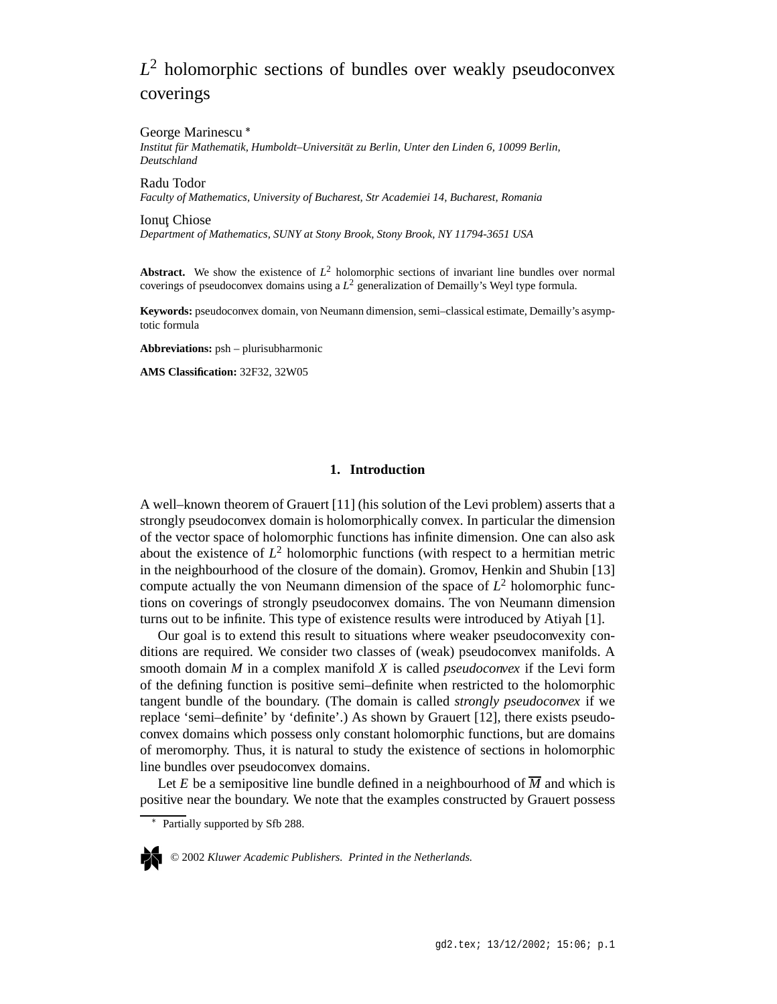# *L* <sup>2</sup> holomorphic sections of bundles over weakly pseudoconvex coverings

### George Marinescu

*Institut für Mathematik, Humboldt–Universität zu Berlin, Unter den Linden 6, 10099 Berlin, Deutschland*

Radu Todor *Faculty of Mathematics, University of Bucharest, Str Academiei 14, Bucharest, Romania*

Ionut Chiose *Department of Mathematics, SUNY at Stony Brook, Stony Brook, NY 11794-3651 USA*

**Abstract.** We show the existence of  $L^2$  holomorphic sections of invariant line bundles over normal coverings of pseudoconvex domains using a *L* <sup>2</sup> generalization of Demailly's Weyl type formula.

**Keywords:** pseudoconvex domain, von Neumann dimension, semi–classical estimate, Demailly's asymptotic formula

**Abbreviations:** psh – plurisubharmonic

**AMS Classification:** 32F32, 32W05

# **1. Introduction**

A well–known theorem of Grauert [11] (his solution of the Levi problem) asserts that a strongly pseudoconvex domain is holomorphically convex. In particular the dimension of the vector space of holomorphic functions has infinite dimension. One can also ask about the existence of  $L^2$  holomorphic functions (with respect to a hermitian metric in the neighbourhood of the closure of the domain). Gromov, Henkin and Shubin [13] compute actually the von Neumann dimension of the space of  $L^2$  holomorphic functions on coverings of strongly pseudoconvex domains. The von Neumann dimension turns out to be infinite. This type of existence results were introduced by Atiyah [1].

Our goal is to extend this result to situations where weaker pseudoconvexity conditions are required. We consider two classes of (weak) pseudoconvex manifolds. A smooth domain *M* in a complex manifold *X* is called *pseudoconvex* if the Levi form of the defining function is positive semi–definite when restricted to the holomorphic tangent bundle of the boundary. (The domain is called *strongly pseudoconvex* if we replace 'semi–definite' by 'definite'.) As shown by Grauert [12], there exists pseudoconvex domains which possess only constant holomorphic functions, but are domains of meromorphy. Thus, it is natural to study the existence of sections in holomorphic line bundles over pseudoconvex domains.

Let *E* be a semipositive line bundle defined in a neighbourhood of  $\overline{M}$  and which is positive near the boundary. We note that the examples constructed by Grauert possess

Partially supported by Sfb 288.



© 2002 *Kluwer Academic Publishers. Printed in the Netherlands.*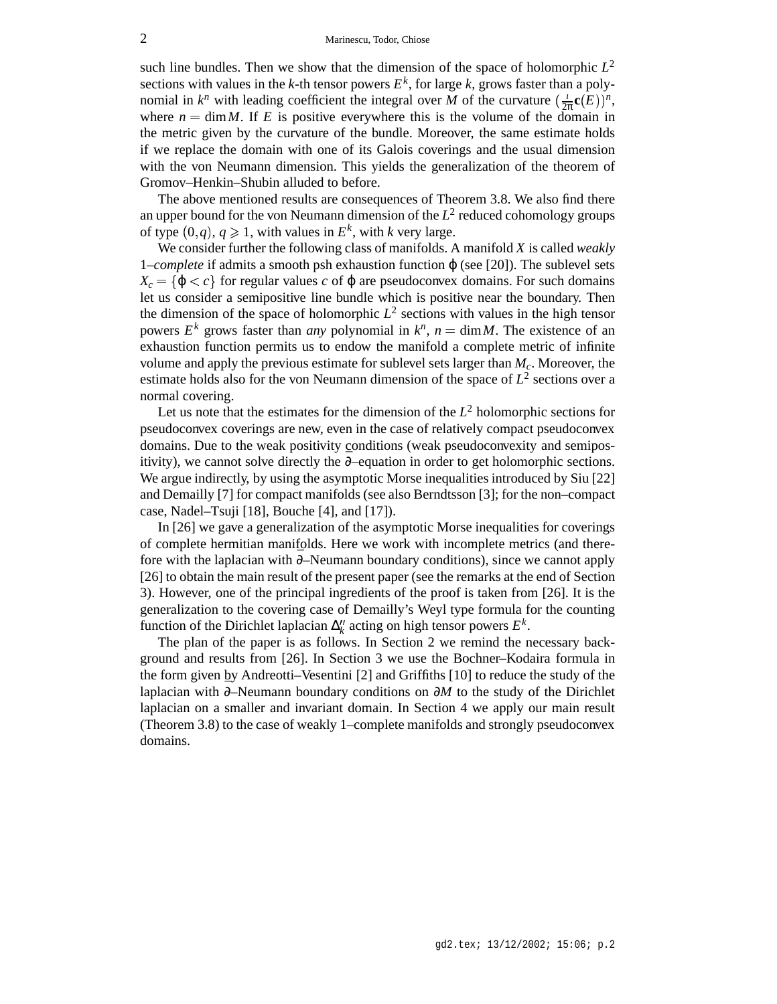such line bundles. Then we show that the dimension of the space of holomorphic  $L^2$ sections with values in the *k*-th tensor powers  $E^k$ , for large *k*, grows faster than a polynomial in  $k^n$  with leading coefficient the integral over *M* of the curvature  $\left(\frac{1}{2\pi}c\right)$  $\frac{i}{2\pi}$ **c** $(E))^n$ , where  $n = \dim M$ . If *E* is positive everywhere this is the volume of the domain in the metric given by the curvature of the bundle. Moreover, the same estimate holds if we replace the domain with one of its Galois coverings and the usual dimension with the von Neumann dimension. This yields the generalization of the theorem of Gromov–Henkin–Shubin alluded to before.

The above mentioned results are consequences of Theorem 3.8. We also find there an upper bound for the von Neumann dimension of the  $L^2$  reduced cohomology groups of type  $(0, q)$ ,  $q \ge 1$ , with values in  $E^k$ , with *k* very large.

We consider further the following class of manifolds. A manifold *X* is called *weakly* 1*–complete* if admits a smooth psh exhaustion function ϕ (see [20]). The sublevel sets  $X_c = \{ \varphi < c \}$  for regular values *c* of  $\varphi$  are pseudoconvex domains. For such domains let us consider a semipositive line bundle which is positive near the boundary. Then the dimension of the space of holomorphic  $L^2$  sections with values in the high tensor powers  $E^k$  grows faster than *any* polynomial in  $k^n$ ,  $n = \dim M$ . The existence of an exhaustion function permits us to endow the manifold a complete metric of infinite volume and apply the previous estimate for sublevel sets larger than *Mc*. Moreover, the estimate holds also for the von Neumann dimension of the space of  $L^2$  sections over a normal covering.

Let us note that the estimates for the dimension of the *L* <sup>2</sup> holomorphic sections for pseudoconvex coverings are new, even in the case of relatively compact pseudoconvex domains. Due to the weak positivity conditions (weak pseudoconvexity and semipositivity), we cannot solve directly the  $∂$ –equation in order to get holomorphic sections. We argue indirectly, by using the asymptotic Morse inequalities introduced by Siu [22] and Demailly [7] for compact manifolds (see also Berndtsson [3]; for the non–compact case, Nadel–Tsuji [18], Bouche [4], and [17]).

In [26] we gave a generalization of the asymptotic Morse inequalities for coverings of complete hermitian manifolds. Here we work with incomplete metrics (and therefore with the laplacian with ∂–Neumann boundary conditions), since we cannot apply [26] to obtain the main result of the present paper (see the remarks at the end of Section 3). However, one of the principal ingredients of the proof is taken from [26]. It is the generalization to the covering case of Demailly's Weyl type formula for the counting function of the Dirichlet laplacian  $\Delta_k''$  acting on high tensor powers  $E^k$ .

The plan of the paper is as follows. In Section 2 we remind the necessary background and results from [26]. In Section 3 we use the Bochner–Kodaira formula in the form given by Andreotti–Vesentini [2] and Griffiths [10] to reduce the study of the laplacian with ∂–Neumann boundary conditions on ∂*M* to the study of the Dirichlet laplacian on a smaller and invariant domain. In Section 4 we apply our main result (Theorem 3.8) to the case of weakly 1–complete manifolds and strongly pseudoconvex domains.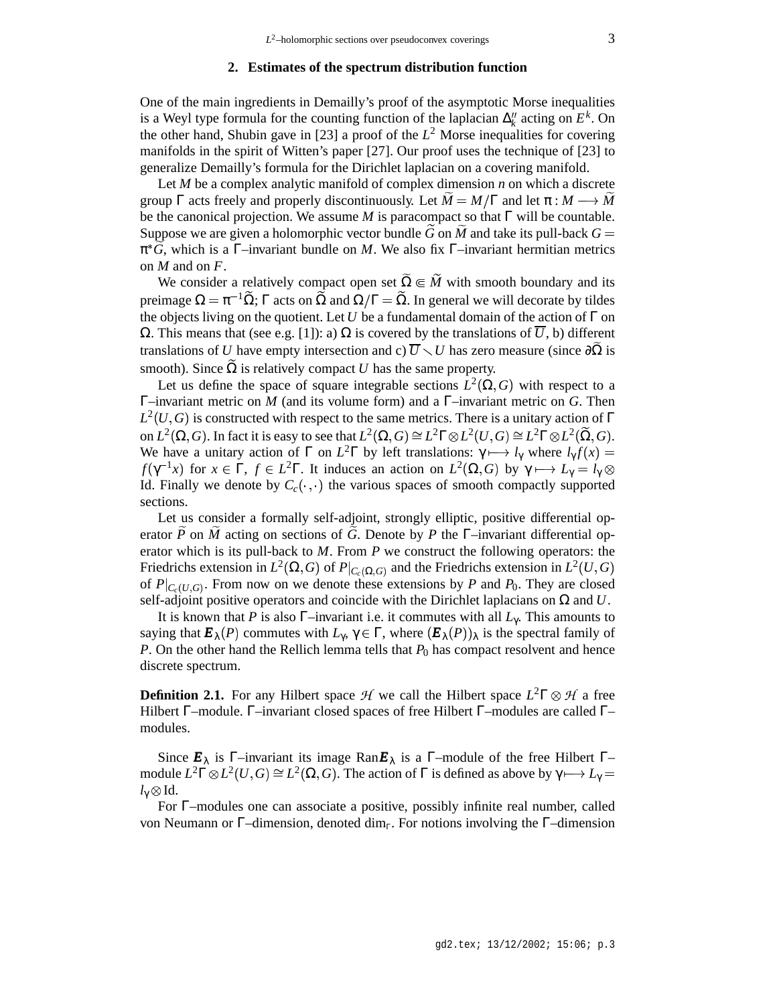### **2. Estimates of the spectrum distribution function**

One of the main ingredients in Demailly's proof of the asymptotic Morse inequalities is a Weyl type formula for the counting function of the laplacian  $\Delta_k''$  acting on  $E^k$ . On the other hand, Shubin gave in [23] a proof of the  $L^2$  Morse inequalities for covering manifolds in the spirit of Witten's paper [27]. Our proof uses the technique of [23] to generalize Demailly's formula for the Dirichlet laplacian on a covering manifold.

Let *M* be a complex analytic manifold of complex dimension *n* on which a discrete group  $\Gamma$  acts freely and properly discontinuously. Let  $\widetilde{M} = M/\Gamma$  and let  $\pi : M \longrightarrow \widetilde{M}$ be the canonical projection. We assume  $M$  is paracompact so that  $\Gamma$  will be countable. Suppose we are given a holomorphic vector bundle  $\tilde{G}$  on  $\tilde{M}$  and take its pull-back  $G =$ π *G* , which is a Γ–invariant bundle on *M*. We also fix Γ–invariant hermitian metrics on *M* and on *F*.

We consider a relatively compact open set  $\widetilde{\Omega} \in \widetilde{M}$  with smooth boundary and its preimage  $\Omega = \pi^{-1} \tilde{\Omega}$ ; Γ acts on  $\tilde{\Omega}$  and  $\Omega/\Gamma = \tilde{\Omega}$ . In general we will decorate by tildes the objects living on the quotient. Let *U* be a fundamental domain of the action of  $\Gamma$  on Ω. This means that (see e.g. [1]): a) Ω is covered by the translations of *U*, b) different translations of *U* have empty intersection and c)  $\overline{U} \setminus U$  has zero measure (since  $\partial\Omega$  is smooth). Since  $\Omega$  is relatively compact *U* has the same property.

Let us define the space of square integrable sections  $L^2(\Omega, G)$  with respect to a Γ–invariant metric on *M* (and its volume form) and a Γ–invariant metric on *G*. Then  $L^2(U, G)$  is constructed with respect to the same metrics. There is a unitary action of Γ on  $L^2(\Omega, G)$ . In fact it is easy to see that  $L^2(\Omega, G) \cong L^2\Gamma \otimes L^2(U, G) \cong L^2\Gamma \otimes L^2(\widetilde{\Omega}, G)$ . We have a unitary action of  $\Gamma$  on  $L^2\Gamma$  by left translations:  $\gamma \mapsto l_\gamma$  where  $l_\gamma f(x) =$ *f*( $\gamma^{-1}x$ ) for  $x \in \Gamma$ ,  $f \in L^2\Gamma$ . It induces an action on  $L^2(\Omega, G)$  by  $\gamma \mapsto L_\gamma = L_\gamma \otimes$ Id. Finally we denote by  $C_c(\cdot, \cdot)$ . . the various spaces of smooth compactly supported sections.

Let us consider a formally self-adjoint, strongly elliptic, positive differential operator *P* on *M* acting on sections of *G* . Denote by *P* the Γ–invariant differential operator which is its pull-back to *M*. From *P* we construct the following operators: the Friedrichs extension in  $L^2(\Omega, G)$  of  $P|_{C_c(\Omega, G)}$  and the Friedrichs extension in  $L^2(U, G)$ of  $P|_{C_c(U,G)}$ . From now on we denote these extensions by *P* and *P*<sub>0</sub>. They are closed self-adjoint positive operators and coincide with the Dirichlet laplacians on Ω and *U*.

It is known that *P* is also  $\Gamma$ -invariant i.e. it commutes with all  $L_{\gamma}$ . This amounts to saying that  $\mathbf{E}_{\lambda}(P)$  commutes with  $L_{\gamma}$ ,  $\gamma \in \Gamma$ , where  $(\mathbf{E}_{\lambda}(P))_{\lambda}$  is the spectral family of *P*. On the other hand the Rellich lemma tells that  $P_0$  has compact resolvent and hence discrete spectrum.

**Definition 2.1.** For any Hilbert space  $H$  we call the Hilbert space  $L^2\Gamma \otimes H$  a free Hilbert Γ–module. Γ–invariant closed spaces of free Hilbert Γ–modules are called Γ– modules.

Since  $\mathbf{E}_{\lambda}$  is  $\Gamma$ –invariant its image  $\text{Ran}\mathbf{E}_{\lambda}$  is a  $\Gamma$ –module of the free Hilbert  $\Gamma$ – module  $L^2\Gamma \otimes L^2(U,G) \cong L^2(\Omega,G)$ . The action of Γ is defined as above by  $\gamma \longmapsto L_\gamma =$  $l_{\gamma} \otimes$  Id.

For Γ–modules one can associate a positive, possibly infinite real number, called von Neumann or Γ–dimension, denoted dim<sub>Γ</sub>. For notions involving the Γ–dimension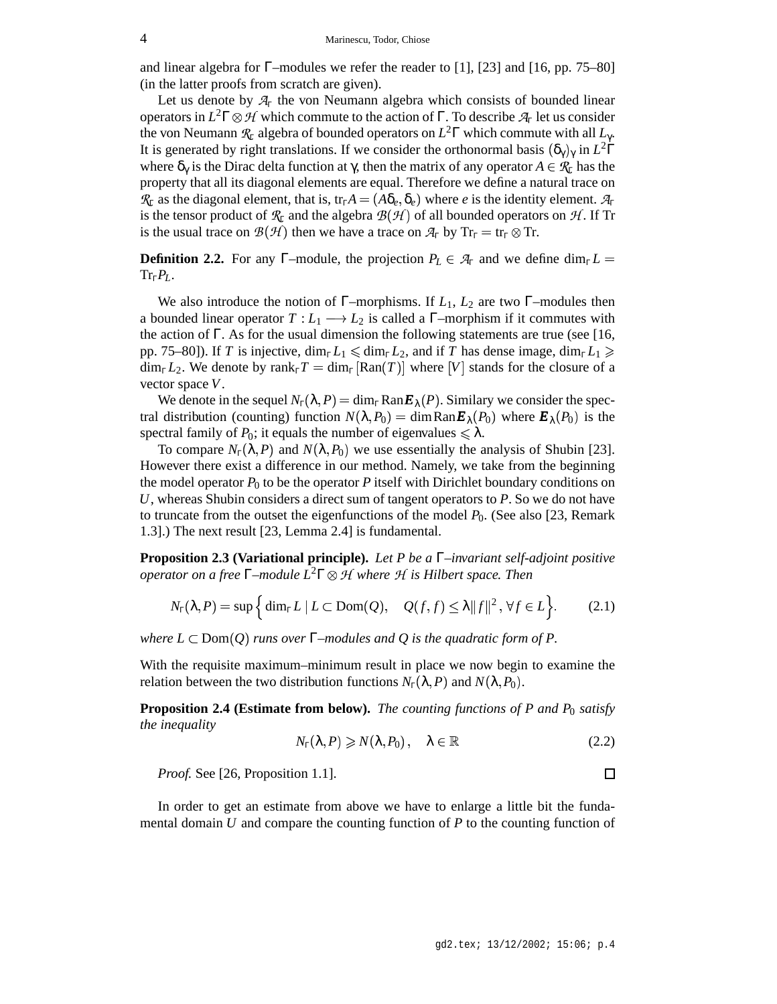and linear algebra for Γ–modules we refer the reader to [1], [23] and [16, pp. 75–80] (in the latter proofs from scratch are given).

Let us denote by  $A<sub>F</sub>$  the von Neumann algebra which consists of bounded linear operators in  $L^2\Gamma \otimes \mathcal{H}$  which commute to the action of  $\Gamma$ . To describe  $\mathcal{A}_{\Gamma}$  let us consider the von Neumann  $\mathcal{R}_{\Gamma}$  algebra of bounded operators on  $L^2\Gamma$  which commute with all  $L_{\gamma}$ . It is generated by right translations. If we consider the orthonormal basis  $(\delta_\gamma)_\gamma$  in  $L^2\Gamma$ where  $\delta_{\gamma}$  is the Dirac delta function at  $\gamma$ , then the matrix of any operator  $A \in \mathcal{R}_{\Gamma}$  has the property that all its diagonal elements are equal. Therefore we define a natural trace on  $\mathcal{R}_{\Gamma}$  as the diagonal element, that is, tr<sub>Γ</sub> $A = (A\delta_e, \delta_e)$  where *e* is the identity element.  $\mathcal{A}_{\Gamma}$ is the tensor product of  $\mathcal{R}_{\Gamma}$  and the algebra  $\mathcal{B}(\mathcal{H})$  of all bounded operators on  $\mathcal{H}.$  If Tr is the usual trace on  $\mathcal{B}(\mathcal{H})$  then we have a trace on  $\mathcal{A}_{\Gamma}$  by  $Tr_{\Gamma} = tr_{\Gamma} \otimes Tr$ .

**Definition 2.2.** For any Γ–module, the projection  $P_L \in \mathcal{A}_\Gamma$  and we define dim<sub>Γ</sub> $L =$  $\text{Tr}_{\Gamma}P_{L}$ .

We also introduce the notion of  $\Gamma$ –morphisms. If  $L_1$ ,  $L_2$  are two  $\Gamma$ –modules then a bounded linear operator  $T: L_1 \longrightarrow L_2$  is called a  $\Gamma$ -morphism if it commutes with the action of  $\Gamma$ . As for the usual dimension the following statements are true (see [16, pp. 75–80]). If *T* is injective,  $\dim_{\Gamma} L_1 \leqslant \dim_{\Gamma} L_2$ , and if *T* has dense image,  $\dim_{\Gamma} L_1 \geqslant$  $\dim_{\Gamma} L_2$ . We denote by  $\text{rank}_{\Gamma} T = \dim_{\Gamma} [\text{Ran}(T)]$  where  $[V]$  stands for the closure of a vector space *V*.

We denote in the sequel  $N_{\Gamma}(\lambda, P) = \dim_{\Gamma} \text{Ran} E_{\lambda}(P)$ . Similary we consider the spectral distribution (counting) function  $N(\lambda, P_0) = \dim \text{Ran} E_\lambda(P_0)$  where  $E_\lambda(P_0)$  is the spectral family of  $P_0$ ; it equals the number of eigenvalues  $\leq \lambda$ .

To compare  $N_{\Gamma}(\lambda, P)$  and  $N(\lambda, P_0)$  we use essentially the analysis of Shubin [23]. However there exist a difference in our method. Namely, we take from the beginning the model operator  $P_0$  to be the operator P itself with Dirichlet boundary conditions on *U*, whereas Shubin considers a direct sum of tangent operators to *P*. So we do not have to truncate from the outset the eigenfunctions of the model  $P_0$ . (See also [23, Remark 1.3].) The next result [23, Lemma 2.4] is fundamental.

**Proposition 2.3 (Variational principle).** *Let P be a* Γ*–invariant self-adjoint positive operator on a free* Γ*–module L* <sup>2</sup>Γ ," *where* " *is Hilbert space. Then*

$$
N_{\Gamma}(\lambda, P) = \sup \Big\{ \dim_{\Gamma} L \mid L \subset \text{Dom}(Q), \quad Q(f, f) \leq \lambda ||f||^2, \forall f \in L \Big\}.
$$
 (2.1)

*where*  $L \subset Dom(Q)$  *runs over*  $\Gamma$ *-modules and*  $Q$  *is the quadratic form of*  $P$ *.* 

With the requisite maximum–minimum result in place we now begin to examine the relation between the two distribution functions  $N_{\Gamma}(\lambda, P)$  and  $N(\lambda, P_0)$ .

**Proposition 2.4 (Estimate from below).** *The counting functions of P and P*<sup>0</sup> *satisfy the inequality*

$$
N_{\Gamma}(\lambda, P) \geqslant N(\lambda, P_0), \quad \lambda \in \mathbb{R} \tag{2.2}
$$

*Proof.* See [26, Proposition 1.1].

In order to get an estimate from above we have to enlarge a little bit the fundamental domain *U* and compare the counting function of *P* to the counting function of

 $\Box$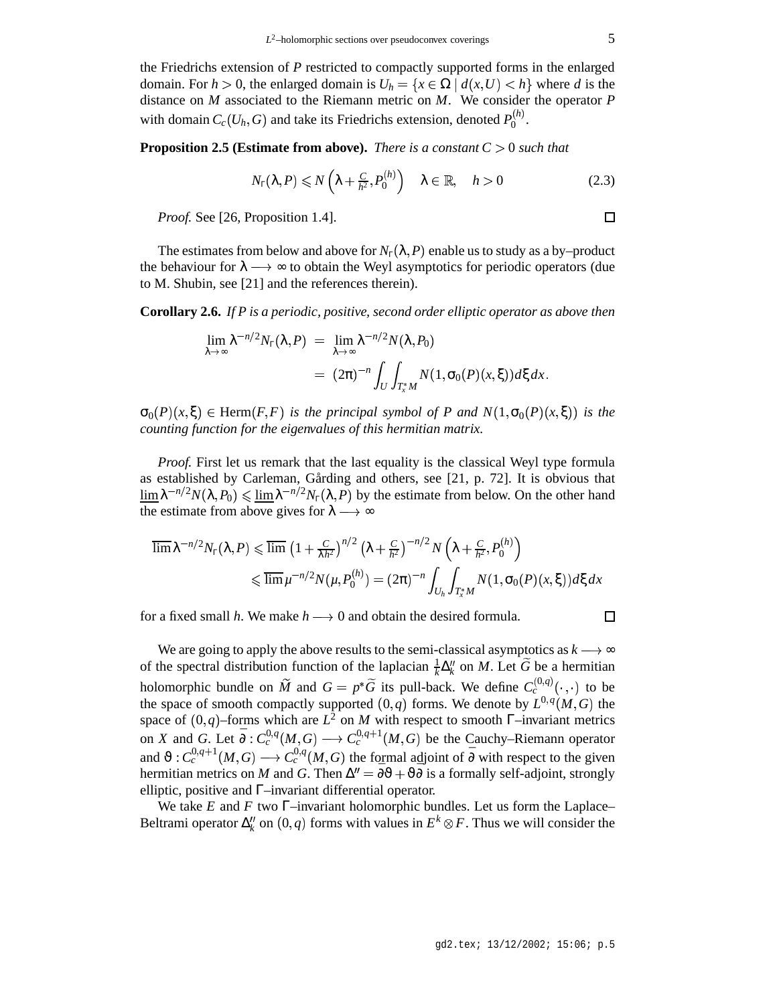the Friedrichs extension of *P* restricted to compactly supported forms in the enlarged domain. For  $h > 0$ , the enlarged domain is  $U_h = \{x \in \Omega \mid d(x, U) < h\}$  where *d* is the distance on *M* associated to the Riemann metric on *M*. We consider the operator *P* with domain  $C_c(U_h, G)$  and take its Friedrichs extension, denoted  $P_0^{(h)}$ .

**Proposition 2.5 (Estimate from above).** *There is a constant*  $C > 0$  *such that* 

$$
N_{\Gamma}(\lambda, P) \le N\left(\lambda + \frac{C}{h^2}, P_0^{(h)}\right) \quad \lambda \in \mathbb{R}, \quad h > 0 \tag{2.3}
$$

*Proof.* See [26, Proposition 1.4].

The estimates from below and above for  $N_\Gamma(\lambda, P)$  enable us to study as a by–product the behaviour for  $\lambda \rightarrow \infty$  to obtain the Weyl asymptotics for periodic operators (due to M. Shubin, see [21] and the references therein).

**Corollary 2.6.** *If P is a periodic, positive, second order elliptic operator as above then*

$$
\lim_{\lambda \to \infty} \lambda^{-n/2} N_{\Gamma}(\lambda, P) = \lim_{\lambda \to \infty} \lambda^{-n/2} N(\lambda, P_0)
$$
  
=  $(2\pi)^{-n} \int_U \int_{T_x^*M} N(1, \sigma_0(P)(x, \xi)) d\xi dx.$ 

 $\sigma_0(P)(x,\xi) \in \text{Herm}(F,F)$  is the principal symbol of P and  $N(1,\sigma_0(P)(x,\xi))$  is the *counting function for the eigenvalues of this hermitian matrix.*

*Proof.* First let us remark that the last equality is the classical Weyl type formula as established by Carleman, Gårding and others, see [21, p. 72]. It is obvious that  $\lim_{\lambda} \lambda^{-n/2} N(\lambda, P_0) \leq \lim_{\lambda} \lambda^{-n/2} N_{\Gamma}(\lambda, P)$  by the estimate from below. On the other hand the estimate from above gives for  $\lambda \rightarrow \infty$ 

$$
\overline{\lim} \lambda^{-n/2} N_{\Gamma}(\lambda, P) \leq \overline{\lim} \left(1 + \frac{C}{\lambda h^2}\right)^{n/2} \left(\lambda + \frac{C}{h^2}\right)^{-n/2} N\left(\lambda + \frac{C}{h^2}, P_0^{(h)}\right)
$$
  

$$
\leq \overline{\lim} \mu^{-n/2} N(\mu, P_0^{(h)}) = (2\pi)^{-n} \int_{U_h} \int_{T_x^*M} N(1, \sigma_0(P)(x, \xi)) d\xi dx
$$

for a fixed small *h*. We make  $h \rightarrow 0$  and obtain the desired formula.

□

We are going to apply the above results to the semi-classical asymptotics as  $k \rightarrow \infty$ of the spectral distribution function of the laplacian  $\frac{1}{k}\Delta_k^N$  on *M*. Let  $\widetilde{G}$  be a hermitian holomorphic bundle on  $\widetilde{M}$  and  $G = p^*\widetilde{G}$  its pull-back. We define  $C_c^{(0,q)}(\cdot, \cdot)$ . .  $\cdot$ ) to be the space of smooth compactly supported  $(0, q)$  forms. We denote by  $L^{0, q}(M, G)$  the space of  $(0, q)$ –forms which are  $L^2$  on *M* with respect to smooth Γ–invariant metrics on *X* and *G*. Let  $\bar{\partial}: C_c^{0,q}(M, G) \longrightarrow C_c^{0,q+1}(M, G)$  be the Cauchy–Riemann operator and  $\vartheta$  :  $C_c^{0,q+1}(M, G) \longrightarrow C_c^{0,q}(M, G)$  the formal adjoint of  $\bar{\partial}$  with respect to the given hermitian metrics on *M* and *G*. Then  $\Delta'' = \overline{\partial}\vartheta + \vartheta\overline{\partial}$  is a formally self-adjoint, strongly elliptic, positive and Γ–invariant differential operator.

We take *E* and *F* two Γ–invariant holomorphic bundles. Let us form the Laplace– Beltrami operator  $\Delta_k^{\prime\prime}$  on  $(0, q)$  forms with values in  $E^k \otimes F$ . Thus we will consider the

 $\Box$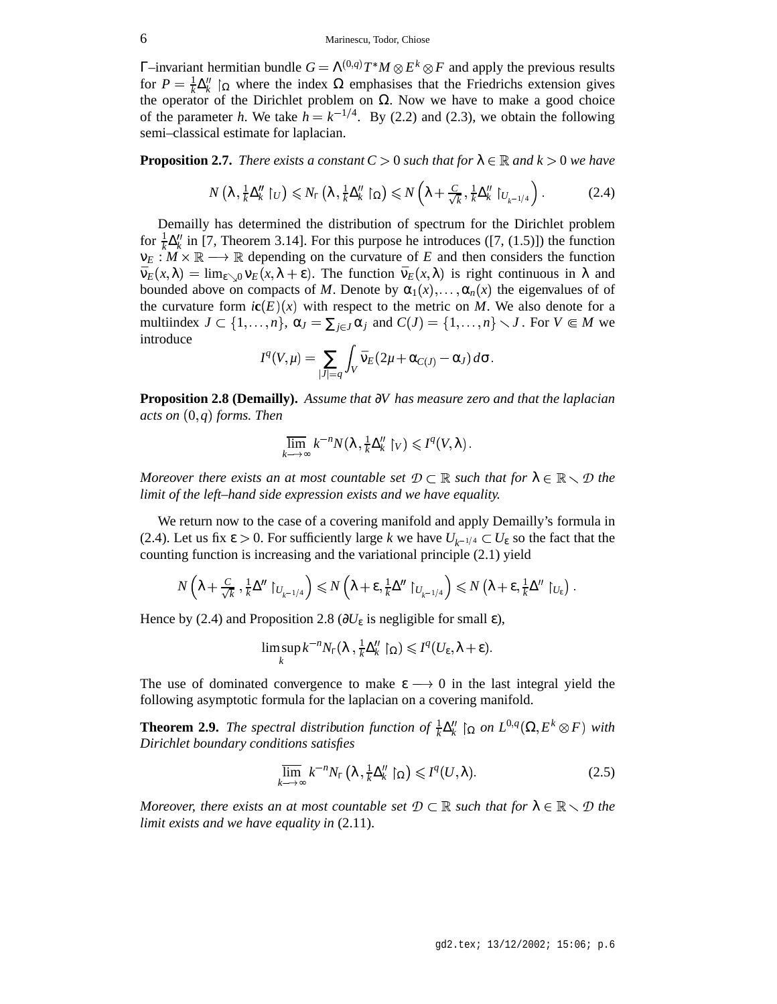Γ–invariant hermitian bundle  $G = \Lambda^{(0,q)}T^*M \otimes E^k \otimes F$  and apply the previous results for  $P = \frac{1}{k} \Delta_k''$   $\int_{\Omega}$  where the index  $\Omega$  emphasises that the Friedrichs extension gives the operator of the Dirichlet problem on  $Ω$ . Now we have to make a good choice of the parameter *h*. We take  $h = k^{-1/4}$ . By (2.2) and (2.3), we obtain the following semi–classical estimate for laplacian.

**Proposition 2.7.** *There exists a constant*  $C > 0$  *such that for*  $\lambda \in \mathbb{R}$  *and*  $k > 0$  *we have* 

$$
N\left(\lambda, \frac{1}{k}\Delta_{k}''\restriction_{U}\right) \leqslant N_{\Gamma}\left(\lambda, \frac{1}{k}\Delta_{k}''\restriction_{\Omega}\right) \leqslant N\left(\lambda + \frac{C}{\sqrt{k}}, \frac{1}{k}\Delta_{k}''\restriction_{U_{k^{-1}/4}}\right). \tag{2.4}
$$

Demailly has determined the distribution of spectrum for the Dirichlet problem for  $\frac{1}{k}\Delta_k''$  in [7, Theorem 3.14]. For this purpose he introduces ([7, (1.5)]) the function  $v_E : M \times \mathbb{R} \longrightarrow \mathbb{R}$  depending on the curvature of *E* and then considers the function  $\bar{\mathbf{v}}_E(x,\lambda) = \lim_{\varepsilon \searrow 0} \mathbf{v}_E(x,\lambda + \varepsilon)$ . The function  $\bar{\mathbf{v}}_E(x,\lambda)$  is right continuous in  $\lambda$  and bounded above on compacts of *M*. Denote by  $\alpha_1(x), \ldots, \alpha_n(x)$  the eigenvalues of of the curvature form  $ic(E)(x)$  with respect to the metric on M. We also denote for a multiindex  $J \subset \{1, ..., n\}$ ,  $\alpha_J = \sum_{j \in J} \alpha_j$  and  $C(J) = \{1, ..., n\} \setminus J$ . For  $V \in M$  we introduce

$$
I^q(V,\mu)=\sum_{|J|=q}\int_V\bar{\nu}_E(2\mu+\alpha_{C(J)}-\alpha_J)\,d\sigma.
$$

**Proposition 2.8 (Demailly).** *Assume that* ∂*V has measure zero and that the laplacian*  $acts\ on\ (0, q) \ forms. \ Then$ 

$$
\overline{\lim}_{k\longrightarrow\infty}k^{-n}N(\lambda,\frac{1}{k}\Delta_k''\restriction_V)\leqslant I^q(V,\lambda).
$$

*Moreover there exists an at most countable set*  $D \subset \mathbb{R}$  *such that for*  $\lambda \in \mathbb{R} \setminus D$  *the limit of the left–hand side expression exists and we have equality.*

We return now to the case of a covering manifold and apply Demailly's formula in (2.4). Let us fix  $\varepsilon > 0$ . For sufficiently large *k* we have  $U_{k^{-1/4}} \subset U_{\varepsilon}$  so the fact that the counting function is increasing and the variational principle (2.1) yield

$$
N\left(\lambda+\frac{C}{\sqrt{k}},\frac{1}{k}\Delta''\restriction_{U_{k^{-1}/4}}\right)\leqslant N\left(\lambda+\epsilon,\frac{1}{k}\Delta''\restriction_{U_{k^{-1}/4}}\right)\leqslant N\left(\lambda+\epsilon,\frac{1}{k}\Delta''\restriction_{U_{\epsilon}}\right).
$$

Hence by (2.4) and Proposition 2.8 ( $\partial U_{\varepsilon}$  is negligible for small  $\varepsilon$ ),

$$
\limsup_{k} k^{-n} N_{\Gamma}(\lambda, \frac{1}{k} \Delta_{k}^{\prime\prime} \restriction_{\Omega}) \leqslant I^{q}(U_{\varepsilon}, \lambda + \varepsilon).
$$

The use of dominated convergence to make  $\varepsilon \longrightarrow 0$  in the last integral yield the following asymptotic formula for the laplacian on a covering manifold.

**Theorem 2.9.** The spectral distribution function of  $\frac{1}{k}\Delta_k^H \restriction_{\Omega}$  on  $L^{0,q}(\Omega,E^k\otimes F)$  with *Dirichlet boundary conditions satisfies*

$$
\overline{\lim}_{k \to \infty} k^{-n} N_{\Gamma} \left( \lambda, \frac{1}{k} \Delta_k'' \right) \leqslant I^q(U, \lambda).
$$
 (2.5)

*Moreover, there exists an at most countable set*  $D \subset \mathbb{R}$  *such that for*  $\lambda \in \mathbb{R} \setminus D$  *the limit exists and we have equality in* (2.11).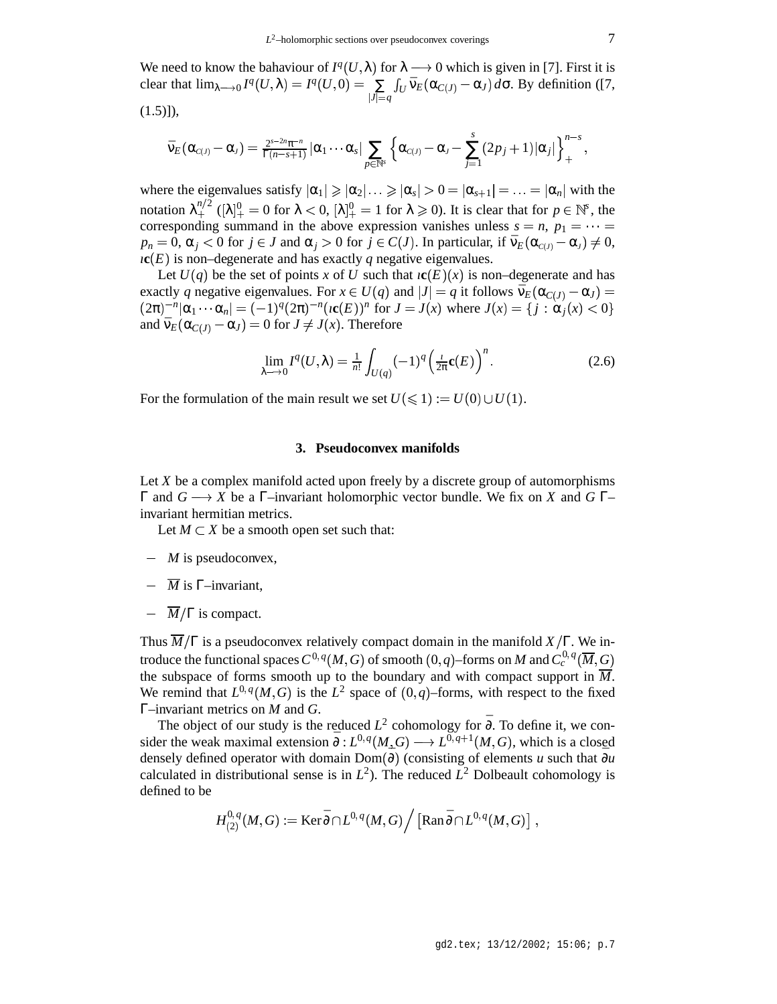We need to know the bahaviour of  $I^q(U, \lambda)$  for  $\lambda \rightarrow 0$  which is given in [7]. First it is clear that  $\lim_{\lambda \to 0} I^q(U, \lambda) = I^q(U, 0) = \sum_{|U| \leq V} \int_U \overline{v}_E(\alpha_C(\lambda))$  $\sum_{|J|=q} \int_U \bar{V}_E(\alpha_{C(J)} - \alpha_J) d\sigma$ . By definition ([7,  $(1.5)$ ]),

$$
\bar{\nu}_E(\alpha_{\scriptscriptstyle C(J)}-\alpha_{\scriptscriptstyle J})=\tfrac{2^{s-2n}\pi^{-n}}{\Gamma(n-s+1)}|\alpha_1\cdots\alpha_s|\sum_{p\in\mathbb{N}^s}\Big\{\alpha_{\scriptscriptstyle C(J)}-\alpha_{\scriptscriptstyle J}-\sum_{j=1}^s(2p_j+1)|\alpha_j|\Big\}_{+}^{n-s},
$$

where the eigenvalues satisfy  $|\alpha_1| \ge |\alpha_2| \dots \ge |\alpha_s| > 0 = |\alpha_{s+1}| = \dots = |\alpha_n|$  with the notation  $\lambda_+^{n/2}$  ( $[\lambda]_+^0 = 0$  for  $\lambda < 0$ ,  $[\lambda]_+^0 = 1$  for  $\lambda \ge 0$ ). It is clear that for  $p \in \mathbb{N}^s$ , the corresponding summand in the above expression vanishes unless  $s = n$ ,  $p_1 = \cdots =$  $p_n = 0$ ,  $\alpha_j < 0$  for  $j \in J$  and  $\alpha_j > 0$  for  $j \in C(J)$ . In particular, if  $\bar{\nu}_E(\alpha_{c(j)} - \alpha_j) \neq 0$ ,  $\iota$ **c**(*E*) is non–degenerate and has exactly *q* negative eigenvalues.

Let  $U(q)$  be the set of points *x* of *U* such that  $i\mathbf{c}(E)(x)$  is non–degenerate and has exactly *q* negative eigenvalues. For  $x \in U(q)$  and  $|J| = q$  it follows  $\bar{\nu}_E(\alpha_{C(J)} - \alpha_J) =$  $(2\pi)^{-n} |\alpha_1 \cdots \alpha_n| = (-1)^q (2\pi)^{-n} (\iota(c(E))^n)$  for  $J = J(x)$  where  $J(x) = \{j : \alpha_j(x) < 0\}$ and  $\bar{v}_E(\alpha_{C(J)} - \alpha_J) = 0$  for  $J \neq J(x)$ . Therefore

$$
\lim_{\lambda \to 0} I^q(U, \lambda) = \frac{1}{n!} \int_{U(q)} (-1)^q \left( \frac{1}{2\pi} \mathbf{c}(E) \right)^n.
$$
 (2.6)

For the formulation of the main result we set  $U(\leq 1) := U(0) \cup U(1)$ .

# **3. Pseudoconvex manifolds**

Let *X* be a complex manifold acted upon freely by a discrete group of automorphisms Γ and *G X* be a Γ–invariant holomorphic vector bundle. We fix on *X* and *G* Γ– invariant hermitian metrics.

Let  $M \subset X$  be a smooth open set such that:

- *M* is pseudoconvex,
- $\overline{M}$  is  $\Gamma$ –invariant.
- $\overline{M}/\Gamma$  is compact.

Thus  $\overline{M}/\Gamma$  is a pseudoconvex relatively compact domain in the manifold  $X/\Gamma$ . We introduce the functional spaces  $C^{0,q}(M,G)$  of smooth  $(0,q)$ –forms on  $M$  and  $C^{0,q}_c(\overline M,G)$ the subspace of forms smooth up to the boundary and with compact support in  $\overline{M}$ . We remind that  $L^{0,q}(M, G)$  is the  $L^2$  space of  $(0,q)$ –forms, with respect to the fixed Γ–invariant metrics on *M* and *G*.

The object of our study is the reduced  $L^2$  cohomology for  $\bar{\partial}$ . To define it, we consider the weak maximal extension  $\bar{\partial}: L^{0,q}(M, G) \longrightarrow L^{\widetilde{0}, q+1}(M, G)$ , which is a closed densely defined operator with domain Dom( $\bar{\partial}$ ) (consisting of elements *u* such that  $\bar{\partial}u$ calculated in distributional sense is in  $L^2$ ). The reduced  $L^2$  Dolbeault cohomology is defined to be

$$
H^{0, \, q}_{(2)}(M, G) := \operatorname{Ker} \bar{\partial} \cap L^{0, \, q}(M, G) \Big/ \left[ \operatorname{Ran} \bar{\partial} \cap L^{0, \, q}(M, G) \right] \, ,
$$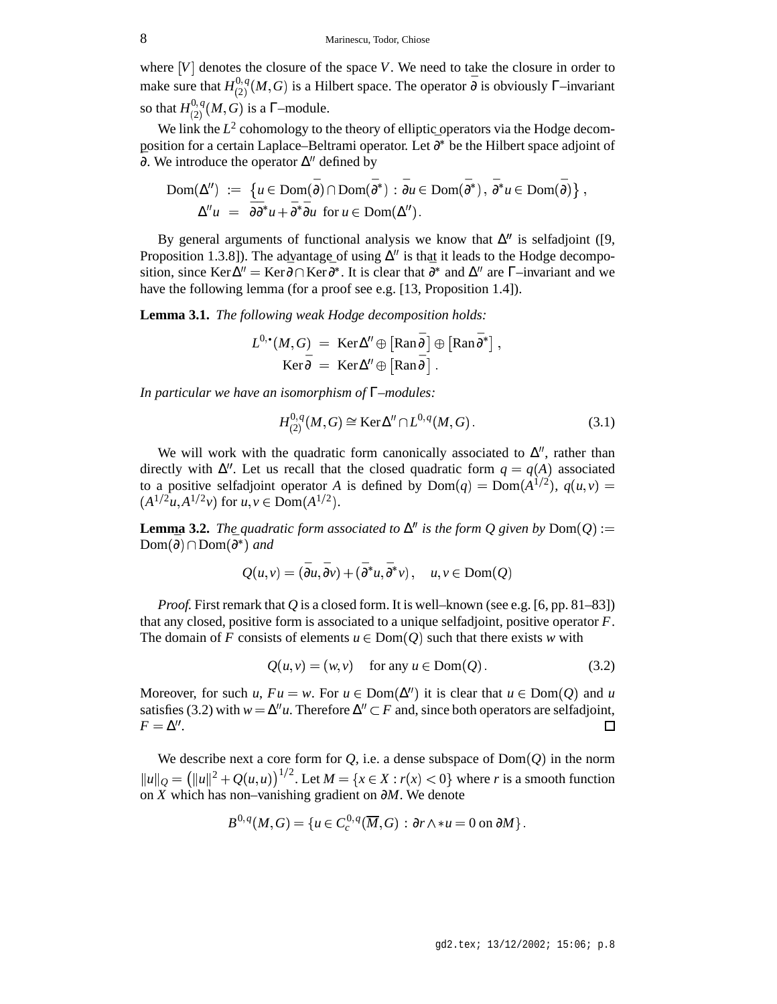where  $[V]$  denotes the closure of the space  $V$ . We need to take the closure in order to make sure that  $H_{(2)}^{0,q}(M, G)$  is a Hilbert space. The operator  $\bar{\partial}$  is obviously  $\Gamma$ –invariant so that  $H_{(2)}^{0,q}(M, G)$  is a  $\Gamma$ -module.

We link the  $L^2$  cohomology to the theory of elliptic operators via the Hodge decomposition for a certain Laplace–Beltrami operator. Let  $\bar{\partial}^*$  be the Hilbert space adjoint of  $\overline{\partial}$ . We introduce the operator  $\Delta''$  defined by

$$
\text{Dom}(\Delta'') := \{ u \in \text{Dom}(\bar{\partial}) \cap \text{Dom}(\bar{\partial}^*) : \bar{\partial}u \in \text{Dom}(\bar{\partial}^*) , \bar{\partial}^*u \in \text{Dom}(\bar{\partial}) \},
$$
  

$$
\Delta''u = \bar{\partial}\bar{\partial}^*u + \bar{\partial}^*\bar{\partial}u \text{ for } u \in \text{Dom}(\Delta'').
$$

By general arguments of functional analysis we know that  $\Delta''$  is selfadjoint ([9, Proposition 1.3.8]). The advantage of using  $\Delta''$  is that it leads to the Hodge decomposition, since Ker $\Delta'' =$  Ker $\bar{\partial} \cap$ Ker $\bar{\partial}^*$ . It is clear that  $\bar{\partial}^*$  and  $\Delta''$  are  $\Gamma$ –invariant and we have the following lemma (for a proof see e.g. [13, Proposition 1.4]).

**Lemma 3.1.** *The following weak Hodge decomposition holds:*

$$
L^{0,\bullet}(M,G) = \operatorname{Ker}\Delta'' \oplus \left[\operatorname{Ran}\bar{\partial}\right] \oplus \left[\operatorname{Ran}\bar{\partial}^*\right],
$$
  

$$
\operatorname{Ker}\bar{\partial} = \operatorname{Ker}\Delta'' \oplus \left[\operatorname{Ran}\bar{\partial}\right].
$$

*In particular we have an isomorphism of* Γ*–modules:*

$$
H_{(2)}^{0,q}(M,G) \cong \text{Ker}\Delta'' \cap L^{0,q}(M,G). \tag{3.1}
$$

We will work with the quadratic form canonically associated to  $\Delta''$ , rather than directly with  $\Delta''$ . Let us recall that the closed quadratic form  $q = q(A)$  associated to a positive selfadjoint operator *A* is defined by  $Dom(q) = Dom(A^{1/2})$ ,  $q(u, v) =$  $(A^{1/2}u, A^{1/2}v)$  for  $u, v \in \text{Dom}(A^{1/2})$ .

**Lemma 3.2.** The quadratic form associated to  $\Delta^n$  is the form Q given by  $Dom(Q) :=$  $Dom(\bar{\partial}) \cap Dom(\bar{\partial}^*)$  and

$$
Q(u, v) = (\bar{\partial}u, \bar{\partial}v) + (\bar{\partial}^*u, \bar{\partial}^*v), \quad u, v \in \text{Dom}(Q)
$$

*Proof.* First remark that *Q* is a closed form. It is well–known (see e.g. [6, pp. 81–83]) that any closed, positive form is associated to a unique selfadjoint, positive operator *F*. The domain of *F* consists of elements  $u \in Dom(Q)$  such that there exists *w* with

$$
Q(u, v) = (w, v) \quad \text{for any } u \in \text{Dom}(Q). \tag{3.2}
$$

Moreover, for such *u*,  $Fu = w$ . For  $u \in Dom(\Delta^n)$  it is clear that  $u \in Dom(Q)$  and *u* satisfies (3.2) with  $w = \Delta^n u$ . Therefore  $\Delta^n \subset F$  and, since both operators are selfadjoint,  $F = \Delta''$ .  $\Box$ 

We describe next a core form for  $Q$ , i.e. a dense subspace of  $Dom(Q)$  in the norm  $||u||_Q = (||u||^2 + Q(u, u))^{1/2}$ . Let  $M = \{x \in X : r(x) < 0\}$  where *r* is a smooth function on *X* which has non–vanishing gradient on ∂*M*. We denote

$$
B^{0,q}(M,G)=\{u\in C^{0,q}_c(\overline{M},G)\,:\,\partial r\wedge\ast u=0\text{ on }\partial M\}\,.
$$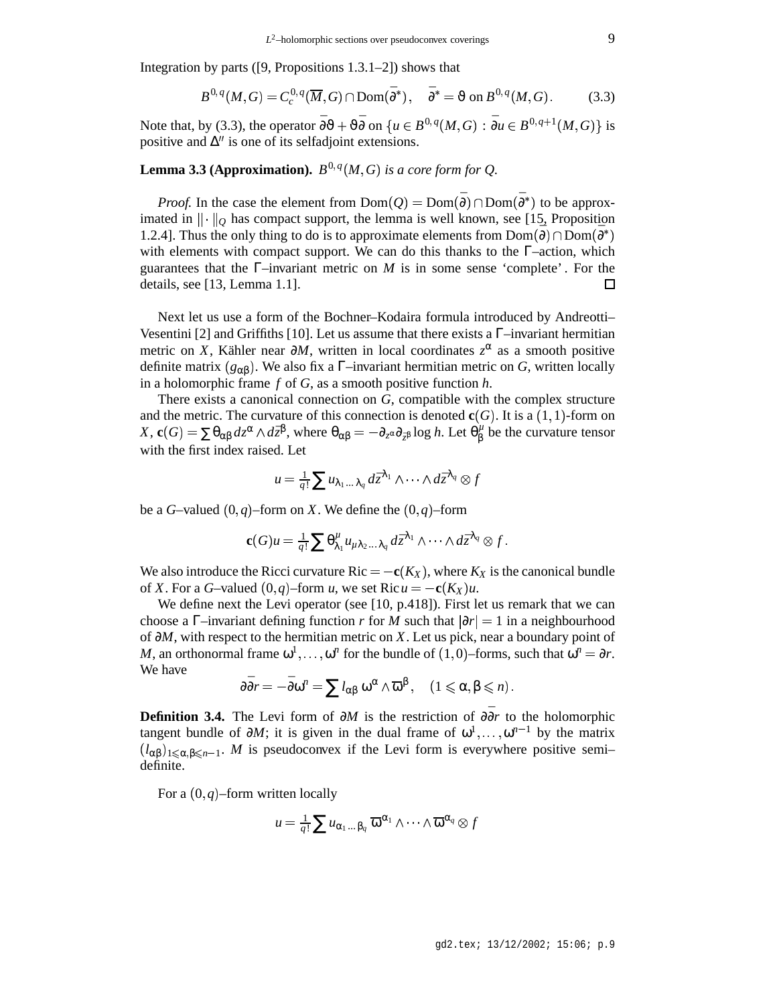Integration by parts ([9, Propositions 1.3.1–2]) shows that

$$
B^{0,q}(M,G) = C_c^{0,q}(\overline{M},G) \cap \text{Dom}(\bar{\partial}^*), \quad \bar{\partial}^* = \vartheta \text{ on } B^{0,q}(M,G). \tag{3.3}
$$

Note that, by (3.3), the operator  $\bar{\partial}\theta + \vartheta\bar{\partial}$  on  $\{u \in B^{0,q}(M,G) : \bar{\partial}u \in B^{0,q+1}(M,G)\}\$ is positive and  $\Delta$ <sup>*''*</sup> is one of its selfadjoint extensions.

# **Lemma 3.3 (Approximation).**  $B^{0,q}(M, G)$  is a core form for Q.

*Proof.* In the case the element from  $Dom(Q) = Dom(\bar{\partial}) \cap Dom(\bar{\partial}^*)$  to be approximated in  $\|\cdot\|_Q$  l  $\|$ <sup> $Q$ </sup> has compact support, the lemma is well known, see [15, Proposition 1.2.4]. Thus the only thing to do is to approximate elements from  $Dom(\overline{\partial}) \cap Dom(\overline{\partial}^*)$ with elements with compact support. We can do this thanks to the Γ–action, which guarantees that the  $\Gamma$ –invariant metric on *M* is in some sense 'complete'. For the details, see [13, Lemma 1.1]. П

Next let us use a form of the Bochner–Kodaira formula introduced by Andreotti– Vesentini [2] and Griffiths [10]. Let us assume that there exists a  $\Gamma$ –invariant hermitian metric on *X*, Kähler near  $\partial M$ , written in local coordinates  $z^{\alpha}$  as a smooth positive definite matrix  $(g_{\alpha\beta})$ . We also fix a Γ–invariant hermitian metric on *G*, written locally in a holomorphic frame *f* of *G*, as a smooth positive function *h*.

There exists a canonical connection on *G*, compatible with the complex structure and the metric. The curvature of this connection is denoted  $c(G)$ . It is a  $(1,1)$ -form on  $X$ ,  $\mathbf{c}(G) = \sum \theta_{\alpha\beta} d z^{\alpha} \wedge d \bar{z}^{\beta}$ , where  $\theta_{\alpha\beta} = - \partial_{z^{\alpha}} \partial_{\bar{z}^{\beta}} \log h$ . Let  $\theta^{\mu}_{\beta}$  $\frac{\mu}{\beta}$  be the curvature tensor with the first index raised. Let

$$
u = \frac{1}{q!} \sum u_{\lambda_1 \ldots \lambda_q} d\bar{z}^{\lambda_1} \wedge \cdots \wedge d\bar{z}^{\lambda_q} \otimes f
$$

be a *G*-valued  $(0, q)$ -form on *X*. We define the  $(0, q)$ -form

$$
\mathbf{c}(G)u = \frac{1}{q!}\sum \theta^{\mu}_{\lambda_1}u_{\mu\lambda_2\ldots\lambda_q}d\bar{z}^{\lambda_1}\wedge\cdots\wedge d\bar{z}^{\lambda_q}\otimes f.
$$

We also introduce the Ricci curvature  $Ric = -c(K_X)$ , where  $K_X$  is the canonical bundle of *X*. For a *G*-valued  $(0, q)$ -form *u*, we set Ric  $u = -c(K_X)u$ .

We define next the Levi operator (see [10, p.418]). First let us remark that we can choose a Γ–invariant defining function *r* for *M* such that  $|\partial r| = 1$  in a neighbourhood of ∂*M*, with respect to the hermitian metric on *X*. Let us pick, near a boundary point of *M*, an orthonormal frame  $\omega^1, \ldots, \omega^n$  for the bundle of  $(1,0)$ –forms, such that  $\omega^n = \partial r$ . We have

$$
\partial \bar{\partial} r = -\bar{\partial} \omega^n = \sum l_{\alpha\beta} \omega^\alpha \wedge \overline{\omega}^\beta, \quad (1 \leq \alpha, \beta \leq n).
$$

**Definition 3.4.** The Levi form of  $\partial M$  is the restriction of  $\partial \overline{\partial} r$  to the holomorphic tangent bundle of  $\partial M$ ; it is given in the dual frame of  $\omega^1, \ldots, \omega^{n-1}$  by the matrix  $(l_{\alpha\beta})_{1\leq \alpha,\beta\leq n-1}$ . *M* is pseudoconvex if the Levi form is everywhere positive semi– definite.

For a  $(0, q)$ –form written locally

$$
\mu = \tfrac{1}{q!} \sum u_{\alpha_1 \ldots \beta_q} \; \overline{\omega}^{\alpha_1} \wedge \cdots \wedge \overline{\omega}^{\alpha_q} \otimes f
$$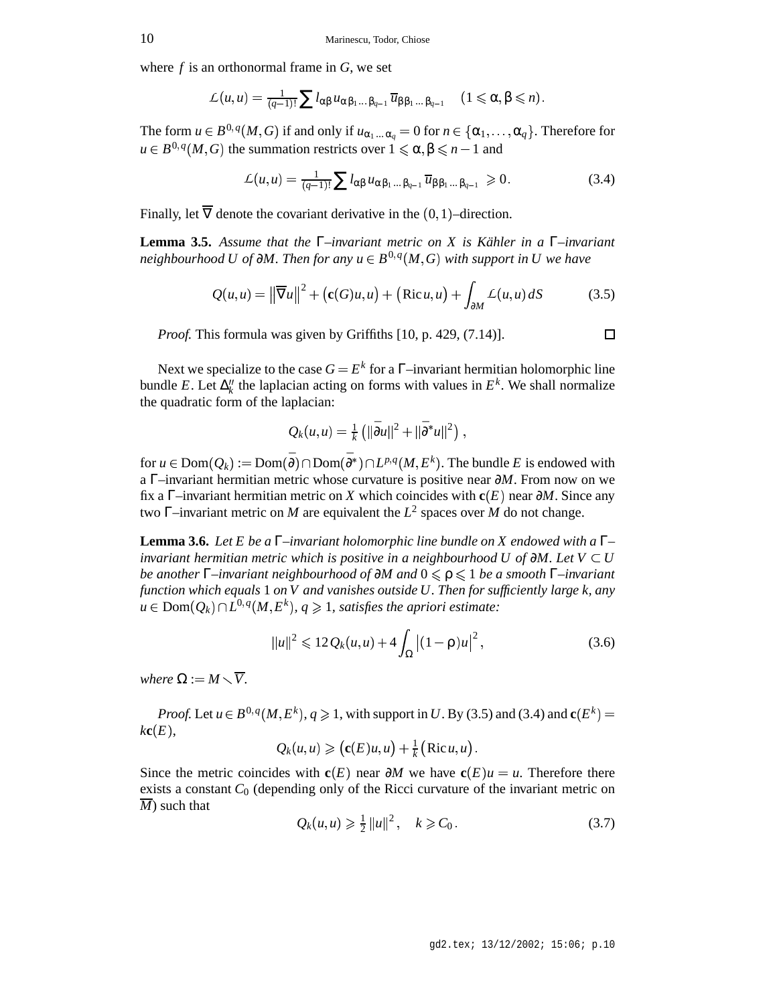where *f* is an orthonormal frame in *G*, we set

$$
\mathcal{L}(u,u)=\tfrac{1}{(q-1)!}\sum l_{\alpha\beta}u_{\alpha\beta_1\ldots\beta_{q-1}}\overline{u}_{\beta\beta_1\ldots\beta_{q-1}}\quad(1\leqslant\alpha,\beta\leqslant n).
$$

The form  $u \in B^{0,q}(M, G)$  if and only if  $u_{\alpha_1...\alpha_q} = 0$  for  $n \in \{\alpha_1, \ldots, \alpha_q\}$ . Therefore for  $u \in B^{0,q}(M, G)$  the summation restricts over  $1 \leq \alpha, \beta \leq n-1$  and

$$
\mathcal{L}(u,u) = \frac{1}{(q-1)!} \sum l_{\alpha\beta} u_{\alpha\beta_1\ldots\beta_{q-1}} \overline{u}_{\beta\beta_1\ldots\beta_{q-1}} \geq 0. \tag{3.4}
$$

Finally, let  $\nabla$  denote the covariant derivative in the  $(0, 1)$ -direction.

**Lemma 3.5.** *Assume that the* Γ*–invariant metric on X is Kähler in a* Γ*–invariant*  $a$  *neighbourhood U of ∂M. Then for any*  $u \in B^{0,q}(M,G)$  *with support in U we have* 

$$
Q(u, u) = \left\| \overline{\nabla} u \right\|^2 + \left( \mathbf{c}(G)u, u \right) + \left( \operatorname{Ric} u, u \right) + \int_{\partial M} L(u, u) \, dS \tag{3.5}
$$

*Proof.* This formula was given by Griffiths [10, p. 429, (7.14)].

Next we specialize to the case  $G = E^k$  for a  $\Gamma$ –invariant hermitian holomorphic line bundle E. Let  $\Delta_k''$  the laplacian acting on forms with values in  $E^k$ . We shall normalize the quadratic form of the laplacian:

$$
Q_k(u, u) = \frac{1}{k} (||\bar{\partial}u||^2 + ||\bar{\partial}^*u||^2),
$$

for  $u \in \text{Dom}(Q_k) := \text{Dom}(\bar{\partial}) \cap \text{Dom}(\bar{\partial}^*) \cap L^{p,q}(M, E^k)$ . The bundle *E* is endowed with a Γ–invariant hermitian metric whose curvature is positive near ∂*M*. From now on we fix a  $\Gamma$ –invariant hermitian metric on *X* which coincides with **c**(*E*) near ∂*M*. Since any two Γ–invariant metric on *M* are equivalent the *L* 2 spaces over *M* do not change.

**Lemma 3.6.** *Let E be a* Γ*–invariant holomorphic line bundle on X endowed with a* Γ*– invariant hermitian metric which is positive in a neighbourhood U of* ∂*M*. Let  $V \subset U$ *be another* Γ–*invariant neighbourhood of* ∂*M and*  $0 ≤ ρ ≤ 1$  *be a smooth* Γ–*invariant function which equals* 1 *on V and vanishes outside U. Then for sufficiently large k, any*  $u \in \text{Dom}(Q_k) \cap L^{0,q}(M,E^k), q \geqslant 1$ , satisfies the apriori estimate:

$$
||u||^2 \leq 12 Q_k(u, u) + 4 \int_{\Omega} |(1 - \rho)u|^2,
$$
\n(3.6)

*where*  $\Omega := M \setminus \overline{V}$ .

*Proof.* Let  $u \in B^{0,q}(M, E^k)$ ,  $q \ge 1$ , with support in *U*. By (3.5) and (3.4) and  $c(E^k)$  =  $k{\bf c}(E)$ ,

$$
Q_k(u,u) \geqslant \big( \mathbf{c}(E)u,u\big) + \tfrac{1}{k} \big( \operatorname{Ric} u,u\big) \, .
$$

Since the metric coincides with  $c(E)$  near  $\partial M$  we have  $c(E)u = u$ . Therefore there exists a constant  $C_0$  (depending only of the Ricci curvature of the invariant metric on *M*) such that

$$
Q_k(u, u) \ge \frac{1}{2} ||u||^2, \quad k \ge C_0.
$$
 (3.7)

$$
\overline{}
$$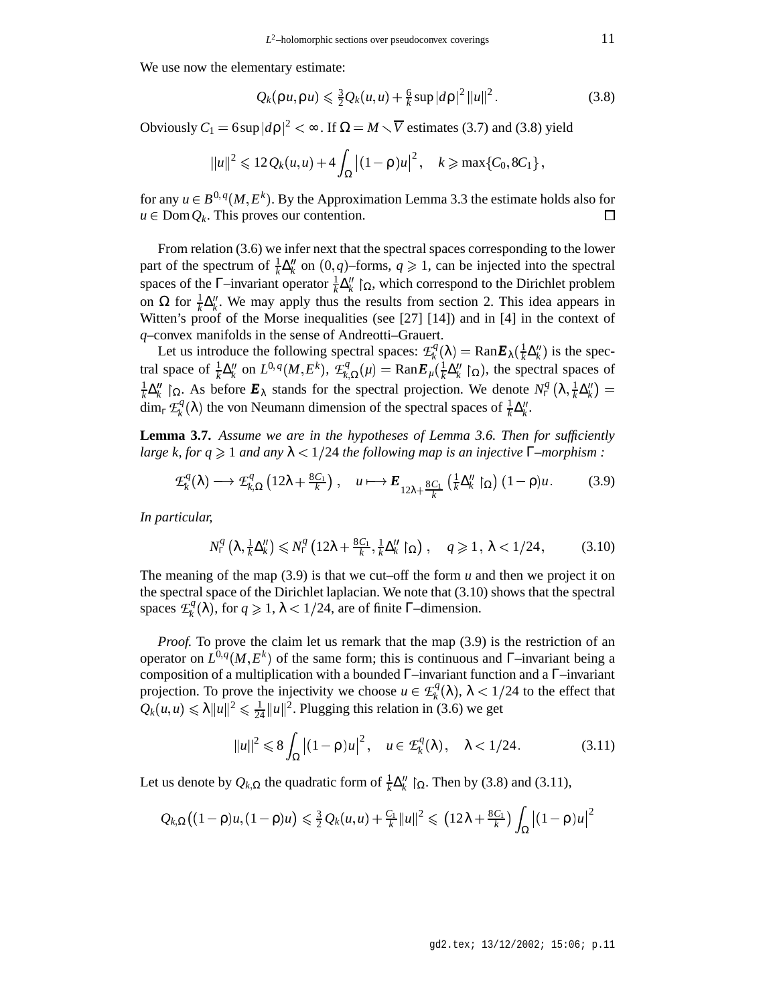We use now the elementary estimate:

$$
Q_k(\rho u, \rho u) \leq \frac{3}{2} Q_k(u, u) + \frac{6}{k} \sup |d\rho|^2 ||u||^2.
$$
 (3.8)

Obviously  $C_1 = 6 \sup |d\rho|^2 < \infty$ . If  $\Omega = M \setminus \overline{V}$  estimates (3.7) and (3.8) yield

$$
||u||^2 \leq 12 Q_k(u,u) + 4 \int_{\Omega} |(1-\rho)u|^2, \quad k \geq \max\{C_0, 8C_1\},
$$

for any  $u \in B^{0,q}(M, E^k)$ . By the Approximation Lemma 3.3 the estimate holds also for  $u \in \text{Dom }Q_k$ . This proves our contention.  $\Box$ 

From relation (3.6) we infer next that the spectral spaces corresponding to the lower part of the spectrum of  $\frac{1}{k}\Delta_k^{\prime\prime}$  on  $(0,q)$ -forms,  $q \ge 1$ , can be injected into the spectral spaces of the  $\Gamma$ –invariant operator  $\frac{1}{k}\Delta_k''$   $\Gamma_{\Omega}$ , which correspond to the Dirichlet problem on  $\Omega$  for  $\frac{1}{k}\Delta_k''$ . We may apply thus the results from section 2. This idea appears in Witten's proof of the Morse inequalities (see [27] [14]) and in [4] in the context of *q*–convex manifolds in the sense of Andreotti–Grauert.

Let us introduce the following spectral spaces:  $\mathcal{L}_k^q(\lambda) = \text{Ran} \mathbf{E}_{\lambda}(\frac{1}{k} \Delta_k^q)$  i  $\frac{1}{k}\Delta_k''$ ) is the spectral space of  $\frac{1}{k}\Delta_k''$  on  $L^{0,q}(M, E^k)$ ,  $\mathcal{L}_{k,\Omega}^q(\mu) = \text{Ran}\mathbf{E}_{\mu}(\frac{1}{k}\Delta_k'' | \mathbf{E}_{\mu}$  $\frac{1}{k} \Delta_k'' \restriction_{\Omega}$ , the spectral spaces of 1  $\frac{1}{k}\Delta''_k$  | Ω. As before  $\mathbf{E}_\lambda$  stands for the spectral projection. We denote  $N_\Gamma^q\left(\lambda, \frac{1}{k}\Delta\right)$  $\frac{1}{k}\Delta''_k$  =  $\dim_{\Gamma} \mathcal{L}_{k}^{q}(\lambda)$  the von Neumann dimension of the spectral spaces of  $\frac{1}{k} \Delta_{k}^{n}$ .

**Lemma 3.7.** *Assume we are in the hypotheses of Lemma 3.6. Then for sufficiently large k, for q*  $\geq$  1 *and any*  $\lambda$  < 1/24 *the following map is an injective*  $\Gamma$ –morphism :

$$
\mathcal{L}_{k}^{q}(\lambda) \longrightarrow \mathcal{L}_{k,\Omega}^{q}\left(12\lambda + \frac{8C_{1}}{k}\right), \quad u \longmapsto \boldsymbol{E}_{12\lambda + \frac{8C_{1}}{k}}\left(\frac{1}{k}\Delta_{k}''\upharpoonright_{\Omega}\right)(1-\rho)u. \tag{3.9}
$$

*In particular,*

$$
N_{\Gamma}^{q}\left(\lambda, \frac{1}{k}\Delta_{k}^{\prime\prime}\right) \leqslant N_{\Gamma}^{q}\left(12\lambda + \frac{8C_{1}}{k}, \frac{1}{k}\Delta_{k}^{\prime\prime} \restriction_{\Omega}\right), \quad q \geqslant 1, \lambda < 1/24,\tag{3.10}
$$

The meaning of the map  $(3.9)$  is that we cut–off the form  $u$  and then we project it on the spectral space of the Dirichlet laplacian. We note that (3.10) shows that the spectral spaces  $\mathcal{L}^q_k(\lambda)$ , for  $q \ge 1$ ,  $\lambda < 1/24$ , are of finite Γ–dimension.

*Proof.* To prove the claim let us remark that the map (3.9) is the restriction of an operator on  $L^{0,q}(M, E^k)$  of the same form; this is continuous and  $\Gamma$ –invariant being a composition of a multiplication with a bounded Γ–invariant function and a Γ–invariant projection. To prove the injectivity we choose  $u \in \mathcal{L}^q_k(\lambda)$ ,  $\lambda < 1/24$  to the effect that  $Q_k(u, u) \le \lambda \|u\|^2 \le \frac{1}{24} \|u\|^2$ . Plugging this relation in (3.6) we get

$$
||u||^2 \leq 8 \int_{\Omega} \left| (1 - \rho)u \right|^2, \quad u \in \mathcal{E}_k^q(\lambda), \quad \lambda < 1/24. \tag{3.11}
$$

Let us denote by  $Q_{k,\Omega}$  the quadratic form of  $\frac{1}{k}\Delta_k''\mid_{\Omega}$ . Then by (3.8) and (3.11),

$$
Q_{k,\Omega}\big((1-\rho)u,(1-\rho)u\big) \leq \tfrac{3}{2}Q_k(u,u)+\tfrac{C_1}{k}\|u\|^2\leqslant \big(12\lambda+\tfrac{8C_1}{k}\big)\int_{\Omega}\big|(1-\rho)u\big|^2
$$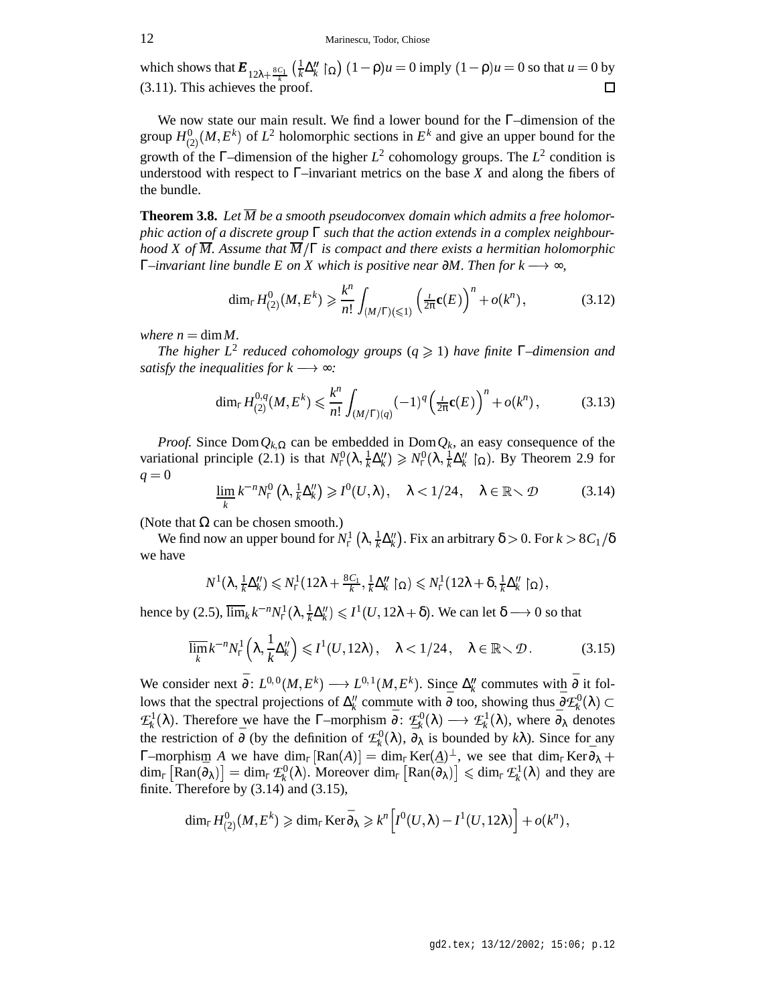1 which shows that  $\mathbf{E}_{12\lambda + \frac{8C_1}{k}}\left(\frac{1}{k}\Delta_k''\right)$  $\frac{1}{k}\Delta_k''\restriction_{\Omega} (1-\rho)u = 0$  imply  $(1-\rho)u = 0$  so that  $u = 0$  by (3.11). This achieves the proof. 口

We now state our main result. We find a lower bound for the Γ–dimension of the group  $H^0_{(2)}(M, E^k)$  of  $L^2$  holomorphic sections in  $E^k$  and give an upper bound for the growth of the  $\Gamma$ -dimension of the higher  $L^2$  cohomology groups. The  $L^2$  condition is understood with respect to  $\Gamma$ –invariant metrics on the base *X* and along the fibers of the bundle.

**Theorem 3.8.** Let  $\overline{M}$  be a smooth pseudoconvex domain which admits a free holomor*phic action of a discrete group* Γ *such that the action extends in a complex neighbourhood X of M. Assume that M* Γ *is compact and there exists a hermitian holomorphic* Γ*–invariant line bundle E on X which is positive near* ∂*M. Then for k* ∞*,*

$$
\dim_{\Gamma} H_{(2)}^0(M, E^k) \geq \frac{k^n}{n!} \int_{(M/\Gamma)(\leq 1)} \left(\frac{L}{2\pi} \mathbf{c}(E)\right)^n + o(k^n) ,\tag{3.12}
$$

*where*  $n = \dim M$ .

*The higher*  $L^2$  *reduced cohomology groups* ( $q \ge 1$ ) *have finite*  $\Gamma$ -dimension *and satisfy the inequalities for*  $k \rightarrow \infty$ *:* 

$$
\dim_{\Gamma} H_{(2)}^{0,q}(M, E^k) \leq \frac{k^n}{n!} \int_{(M/\Gamma)(q)} (-1)^q \left(\frac{1}{2\pi} \mathbf{c}(E)\right)^n + o(k^n), \tag{3.13}
$$

*Proof.* Since  $Dom Q_{k,\Omega}$  can be embedded in  $Dom Q_k$ , an easy consequence of the variational principle (2.1) is that  $N_{\rm r}^0(\lambda, \frac{1}{k}\Delta)$  $\frac{1}{k}\Delta''_k$ )  $\geqslant N_\Gamma^0(\lambda,\frac{1}{k}\Delta''_k)$  [s  $\frac{1}{k}\Delta_k''$   $\left[\Omega\right]$ . By Theorem 2.9 for  $q = 0$ 

$$
\varliminf_{k} k^{-n} N_{\Gamma}^{0}\left(\lambda, \frac{1}{k} \Delta_{k}^{\prime\prime}\right) \geqslant I^{0}(U, \lambda), \quad \lambda < 1/24, \quad \lambda \in \mathbb{R} \setminus \mathcal{D} \tag{3.14}
$$

(Note that  $\Omega$  can be chosen smooth.)

We find now an upper bound for  $N_{\Gamma}^1$   $\left(\lambda, \frac{1}{k}\right)$  $\frac{1}{k}\Delta_k''$ ). Fix an arbitrary  $\delta > 0$ . For  $k > 8C_1/\delta$ we have

$$
N^1(\lambda, \tfrac{1}{k}\Delta_k'') \leq N_\Gamma^1(12\lambda + \tfrac{8C_1}{k}, \tfrac{1}{k}\Delta_k'' \restriction_{\Omega}) \leq N_\Gamma^1(12\lambda + \delta, \tfrac{1}{k}\Delta_k'' \restriction_{\Omega}),
$$

hence by (2.5),  $\overline{\lim}_{k} k^{-n} N_{\Gamma}^{1}(\lambda, \frac{1}{k} \Delta)$  $\frac{1}{k}\Delta_k''\leq I^1(U,12\lambda+\delta).$  We can let  $\delta\longrightarrow 0$  so that

$$
\overline{\lim}_{k} k^{-n} N_{\Gamma}^{1}\left(\lambda, \frac{1}{k} \Delta_{k}^{\prime\prime}\right) \leqslant I^{1}(U, 12\lambda), \quad \lambda < 1/24, \quad \lambda \in \mathbb{R} \setminus \mathcal{D}. \tag{3.15}
$$

We consider next  $\bar{\partial}$ :  $L^{0,0}(M, E^k) \longrightarrow L^{0,1}(M, E^k)$ . Since  $\Delta_k''$  commutes with  $\bar{\partial}$  it follows that the spectral projections of  $\Delta_k''$  commute with  $\bar{\partial}$  too, showing thus  $\bar{\partial} \mathcal{L}_k^0(\lambda) \subset$  $\mathcal{L}^1_k(\lambda)$ . Therefore we have the Γ–morphism  $\bar{\partial}$ :  $\mathcal{L}^0_k(\lambda) \longrightarrow \mathcal{L}^1_k(\lambda)$ , where  $\bar{\partial}_{\lambda}$  denotes the restriction of  $\bar{\partial}$  (by the definition of  $\mathcal{L}_{k}^{0}(\lambda)$ ,  $\bar{\partial}_{\lambda}^{0}$  is bounded by  $k\lambda$ ). Since for any  $\Gamma$ –morphism *A* we have  $\dim_{\Gamma} [\text{Ran}(A)] = \dim_{\Gamma} \text{Ker}(A)^{\perp}$ , we see that  $\dim_{\Gamma} \text{Ker} \bar{\partial}_{\lambda} +$  $\dim_{\Gamma} [\hat{R}an(\bar{\partial}_{\lambda})] = \dim_{\Gamma} \mathcal{L}_{k}^{0}(\lambda)$ . Moreover  $\dim_{\Gamma} [Ran(\bar{\partial}_{\lambda})] \leqslant \dim_{\Gamma} \mathcal{L}_{k}^{1}(\lambda)$  and they are finite. Therefore by (3.14) and (3.15),

$$
\dim_{\mathbb{F}} H^0_{(2)}(M,E^k) \geqslant \dim_{\mathbb{F}} \operatorname{Ker} \bar{\partial}_{\lambda} \geqslant k^n \Big[ I^0(U,\lambda) - I^1(U,12\lambda) \Big] + o(k^n) \,,
$$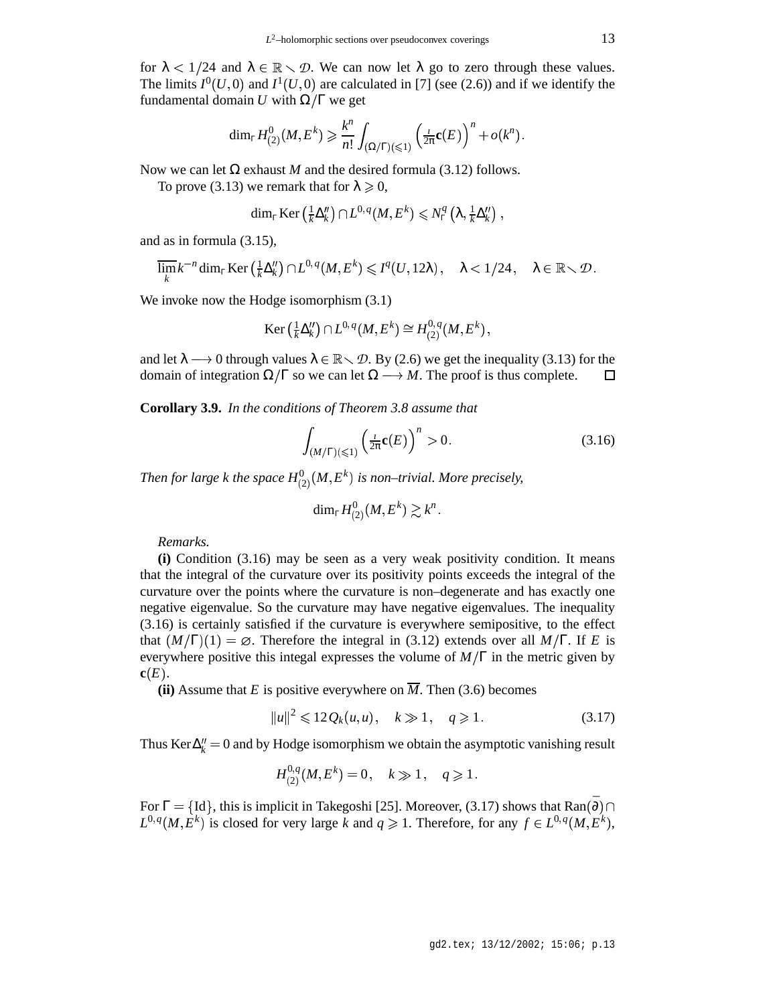for  $\lambda < 1/24$  and  $\lambda \in \mathbb{R} \setminus \mathcal{D}$ . We can now let  $\lambda$  go to zero through these values. The limits  $I^0(U,0)$  and  $I^1(U,0)$  are calculated in [7] (see (2.6)) and if we identify the fundamental domain *U* with  $\Omega/\Gamma$  we get

$$
\dim_{\mathbb{F}} H^0_{(2)}(M,E^k) \geqslant \frac{k^n}{n!} \int_{(\Omega/\Gamma)(\leqslant 1)} \left( \frac{1}{2\pi} \mathbf{c}(E) \right)^n + o(k^n) \, .
$$

Now we can let  $\Omega$  exhaust *M* and the desired formula (3.12) follows.

To prove (3.13) we remark that for  $\lambda \geq 0$ ,

$$
\dim_{\Gamma}\mathop{\rm Ker}\nolimits\left(\tfrac{1}{k}\Delta_k''\right)\cap L^{0,\,q}(M,E^k)\leqslant N_{\Gamma}^{q}\left(\lambda,\tfrac{1}{k}\Delta_k''\right)\,,
$$

and as in formula (3.15),

$$
\overline{\lim}_{k} k^{-n} \dim_{\Gamma} \text{Ker} \left( \frac{1}{k} \Delta_{k}'' \right) \cap L^{0, q}(M, E^{k}) \leqslant I^{q}(U, 12\lambda), \quad \lambda < 1/24, \quad \lambda \in \mathbb{R} \setminus \mathcal{D}.
$$

We invoke now the Hodge isomorphism  $(3.1)$ 

$$
\operatorname{Ker}\left(\tfrac{1}{k}\Delta_k''\right)\cap L^{0,\,q}(M,E^k)\cong H^{0,\,q}_{(2)}(M,E^k)\,,
$$

and let  $\lambda \longrightarrow 0$  through values  $\lambda \in \mathbb{R} \setminus \mathcal{D}$ . By (2.6) we get the inequality (3.13) for the domain of integration  $\Omega/\Gamma$  so we can let  $\Omega \longrightarrow M$ . The proof is thus complete.  $\Box$ 

**Corollary 3.9.** *In the conditions of Theorem 3.8 assume that*

$$
\int_{(M/\Gamma)(\leq 1)} \left(\frac{L}{2\pi} \mathbf{c}(E)\right)^n > 0. \tag{3.16}
$$

Then for large  $k$  the space  $H^0_{(2)}(M,E^k)$  is non–trivial. More precisely,

$$
\dim_{\mathbb{F}}H_{(2)}^{0}(M,E^{k})\gtrsim k^{n}\,.
$$

*Remarks.*

**(i)** Condition (3.16) may be seen as a very weak positivity condition. It means that the integral of the curvature over its positivity points exceeds the integral of the curvature over the points where the curvature is non–degenerate and has exactly one negative eigenvalue. So the curvature may have negative eigenvalues. The inequality (3.16) is certainly satisfied if the curvature is everywhere semipositive, to the effect that  $(M/\Gamma)(1) = \emptyset$ . Therefore the integral in (3.12) extends over all  $M/\Gamma$ . If *E* is everywhere positive this integal expresses the volume of  $M/\Gamma$  in the metric given by **.** 

**(ii)** Assume that *E* is positive everywhere on  $\overline{M}$ . Then (3.6) becomes

$$
||u||^2 \le 12Q_k(u, u), \quad k \gg 1, \quad q \ge 1. \tag{3.17}
$$

Thus  $\text{Ker }\Delta_k'' = 0$  and by Hodge isomorphism we obtain the asymptotic vanishing result

$$
H_{(2)}^{0,q}(M,E^k)=0\;\! ,\quad k\gg 1\;\! ,\quad q\geqslant 1\;\! .
$$

For  $\Gamma = \{Id\}$ , this is implicit in Takegoshi [25]. Moreover, (3.17) shows that  $\text{Ran}(\bar{\partial}) \cap$  $L^{0,q}(M, E^k)$  is closed for very large *k* and  $q \ge 1$ . Therefore, for any  $f \in L^{0,q}(M, E^k)$ ,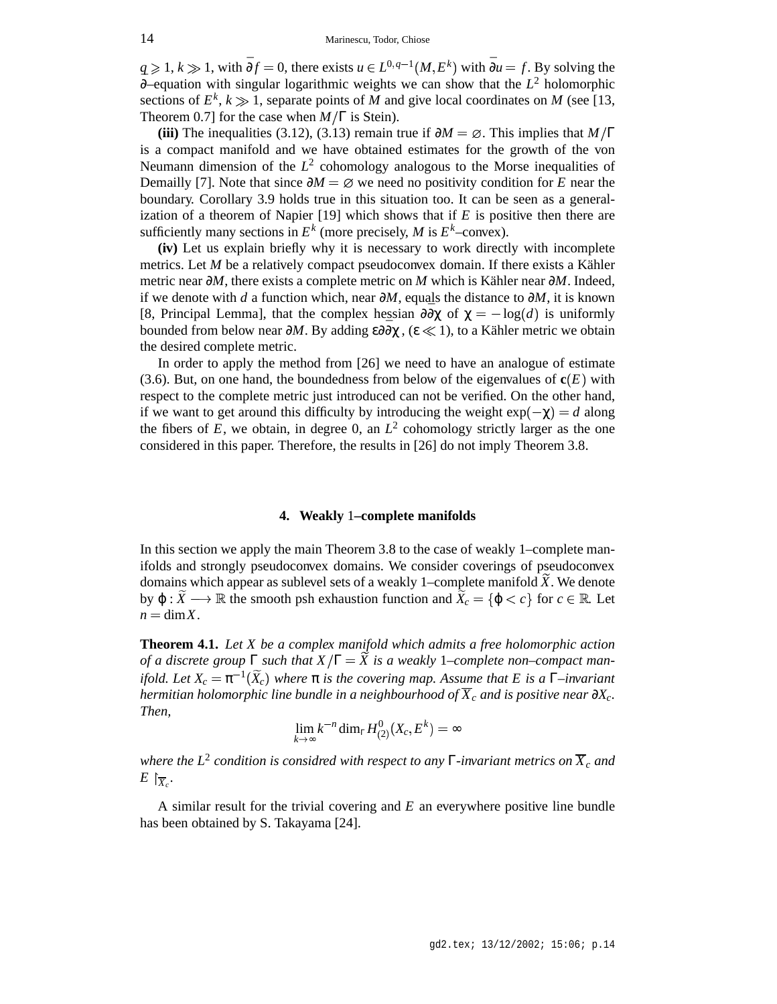*q*  $\geq$  1, *k*  $\gg$  1, with  $\bar{\partial}f = 0$ , there exists *u* ∈  $L^{0,q-1}(M, E^k)$  with  $\bar{\partial}u = f$ . By solving the ¯∂–equation with singular logarithmic weights we can show that the *L* <sup>2</sup> holomorphic sections of  $E^k$ ,  $k \gg 1$ , separate points of *M* and give local coordinates on *M* (see [13, Theorem 0.7] for the case when  $M/\Gamma$  is Stein).

**(iii)** The inequalities (3.12), (3.13) remain true if  $\partial M = \emptyset$ . This implies that  $M/\Gamma$ is a compact manifold and we have obtained estimates for the growth of the von Neumann dimension of the  $L^2$  cohomology analogous to the Morse inequalities of Demailly [7]. Note that since  $\partial M = \emptyset$  we need no positivity condition for *E* near the boundary. Corollary 3.9 holds true in this situation too. It can be seen as a generalization of a theorem of Napier [19] which shows that if *E* is positive then there are sufficiently many sections in  $E^k$  (more precisely, *M* is  $E^k$ –convex).

**(iv)** Let us explain briefly why it is necessary to work directly with incomplete metrics. Let *M* be a relatively compact pseudoconvex domain. If there exists a Kähler metric near ∂*M*, there exists a complete metric on *M* which is Kähler near ∂*M*. Indeed, if we denote with *d* a function which, near ∂*M*, equals the distance to ∂*M*, it is known [8, Principal Lemma], that the complex hessian  $\frac{\partial \overline{\partial} \chi}{\partial \overline{\partial}}$  of  $\chi = -\log(d)$  is uniformly bounded from below near  $\partial M$ . By adding ε∂ $\bar{\partial}\chi$ , (ε  $\ll$  1), to a Kähler metric we obtain the desired complete metric.

In order to apply the method from [26] we need to have an analogue of estimate  $(3.6)$ . But, on one hand, the boundedness from below of the eigenvalues of  $c(E)$  with respect to the complete metric just introduced can not be verified. On the other hand, if we want to get around this difficulty by introducing the weight  $exp(-\chi) = d$  along the fibers of  $E$ , we obtain, in degree 0, an  $L^2$  cohomology strictly larger as the one considered in this paper. Therefore, the results in [26] do not imply Theorem 3.8.

## **4. Weakly** 1**–complete manifolds**

In this section we apply the main Theorem 3.8 to the case of weakly 1–complete manifolds and strongly pseudoconvex domains. We consider coverings of pseudoconvex domains which appear as sublevel sets of a weakly 1–complete manifold *X* . We denote by  $\varphi: X \longrightarrow \mathbb{R}$  the smooth psh exhaustion function and  $X_c = \{\varphi < c\}$  for  $c \in \mathbb{R}$ . Let  $n = \text{dim} X$ .

**Theorem 4.1.** *Let X be a complex manifold which admits a free holomorphic action of a discrete group*  $\Gamma$  *such that*  $X/\Gamma = \overline{X}$  *is a weakly* 1–*complete non–compact manifold.* Let  $X_c = \pi^{-1}(\widetilde{X}_c)$  where  $\pi$  *is the covering map. Assume that E is a*  $\Gamma$ *-invariant hermitian holomorphic line bundle in a neighbourhood of*  $\overline{X}_c$  *and is positive near*  $\partial X_c$ *. Then,*

$$
\lim_{k\to\infty}k^{-n}\dim_{\Gamma} H_{(2)}^{0}(X_c,E^k)=\infty
$$

*where the L* 2 *condition is considred with respect to any* Γ*-invariant metrics on X<sup>c</sup> and*  $E\restriction_{\overline{X}_c}$ .

A similar result for the trivial covering and *E* an everywhere positive line bundle has been obtained by S. Takayama [24].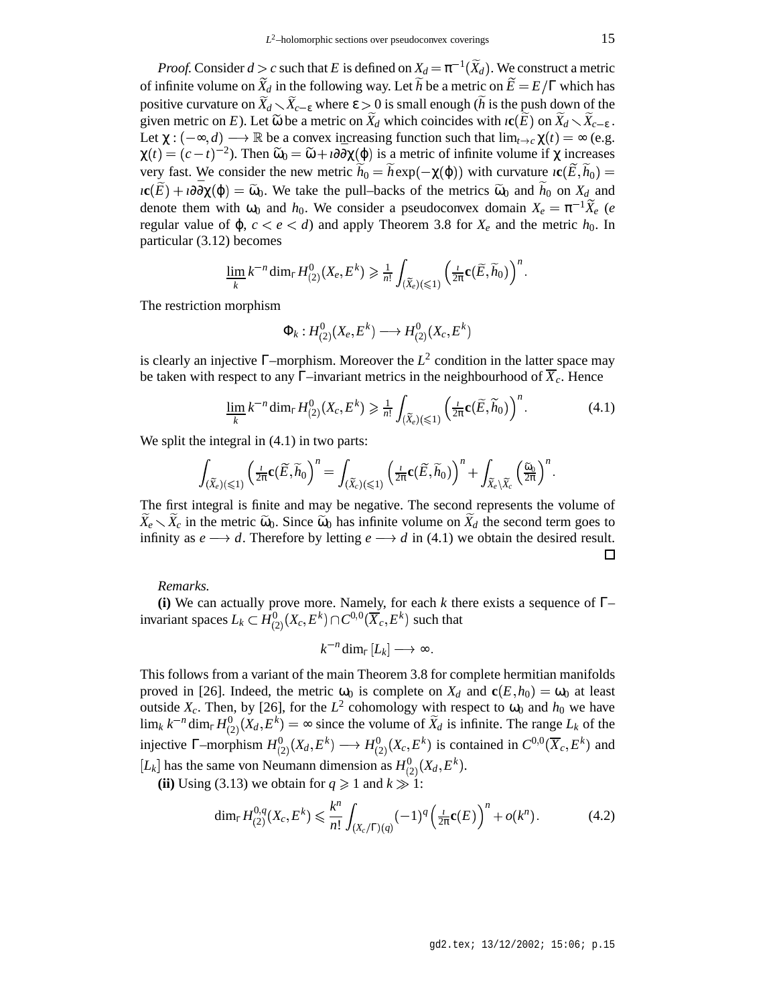*Proof.* Consider  $d > c$  such that *E* is defined on  $X_d = \pi^{-1}(\widetilde{X}_d)$ . We construct a metric of infinite volume on  $\widetilde{X}_d$  in the following way. Let  $\widetilde{h}$  be a metric on  $\widetilde{E} = E/\Gamma$  which has positive curvature on  $X_d \setminus X_{c-\varepsilon}$  where  $\varepsilon > 0$  is small enough (*h* is the push down of the given metric on *E*). Let  $\widetilde{\omega}$  be a metric on  $X_d$  which coincides with  $\iota$ **c**(*E*) on  $X_d \setminus X_{c-\varepsilon}$ . Let  $\chi: (-\infty, d) \longrightarrow \mathbb{R}$  be a convex increasing function such that  $\lim_{t \to c} \chi(t) = \infty$  (e.g.  $\chi(t) = (c - t)^{-2}$ ). Then  $\tilde{\omega}_0 = \tilde{\omega} + t \partial \bar{\partial} \chi(\varphi)$  is a metric of infinite volume if  $\chi$  increases very fast. We consider the new metric  $h_0 = h \exp(-\chi(\varphi))$  with curvature  $\iota \mathbf{c}(E, h_0) =$  $i$ **c**( $\widetilde{E}$ ) +  $i\partial\overline{\partial}\chi(\varphi) = \widetilde{\omega}_0$ . We take the pull–backs of the metrics  $\widetilde{\omega}_0$  and  $\widetilde{h}_0$  on  $X_d$  and denote them with  $\omega_0$  and  $h_0$ . We consider a pseudoconvex domain  $X_e = \pi^{-1} \widetilde{X}_e$  (*e* regular value of  $\varphi$ ,  $c < e < d$ ) and apply Theorem 3.8 for  $X_e$  and the metric  $h_0$ . In particular (3.12) becomes

$$
\varliminf_k k^{-n}\dim_{\mathbb{F}} H^0_{(2)}(X_e,E^k) \geqslant \tfrac{1}{n!}\int_{(\widetilde{X}_e)(\leqslant 1)}\left(\tfrac{1}{2\pi}\mathbf{c}(\widetilde{E},\widetilde{h}_0)\right)^n.
$$

The restriction morphism

$$
\Phi_k:H^0_{(2)}(X_e,E^k)\longrightarrow H^0_{(2)}(X_e,E^k)
$$

is clearly an injective  $\Gamma$ -morphism. Moreover the  $L^2$  condition in the latter space may be taken with respect to any  $\Gamma$ –invariant metrics in the neighbourhood of  $\overline{X}_c$ . Hence

$$
\underline{\lim_{k}} k^{-n} \dim_{\Gamma} H_{(2)}^{0}(X_c, E^k) \geq \frac{1}{n!} \int_{(\widetilde{X}_e)(\leq 1)} \left(\frac{1}{2\pi} \mathbf{c}(\widetilde{E}, \widetilde{h}_0)\right)^n.
$$
 (4.1)

We split the integral in  $(4.1)$  in two parts:

$$
\int_{(\widetilde{X}_e)(\leqslant 1)}\left(\tfrac{1}{2\pi}\mathbf{c}(\widetilde{E},\widetilde{h}_0\right)^n=\int_{(\widetilde{X}_e)(\leqslant 1)}\left(\tfrac{1}{2\pi}\mathbf{c}(\widetilde{E},\widetilde{h}_0)\right)^n+\int_{\widetilde{X}_e\backslash\widetilde{X}_c}\left(\tfrac{\widetilde{\omega}_0}{2\pi}\right)^n.
$$

The first integral is finite and may be negative. The second represents the volume of  $\widetilde{X}_e \setminus \widetilde{X}_c$  in the metric  $\widetilde{\omega}_0$ . Since  $\widetilde{\omega}_0$  has infinite volume on  $\widetilde{X}_d$  the second term goes to infinity as  $e \rightarrow d$ . Therefore by letting  $e \rightarrow d$  in (4.1) we obtain the desired result.  $\Box$ 

*Remarks.*

**(i)** We can actually prove more. Namely, for each *k* there exists a sequence of Γ– invariant spaces  $L_k \subset H^0_{(2)}(X_c,E^k) \cap C^{0,0}(\overline X_c,E^k)$  such that

$$
k^{-n}\dim_{\Gamma}[L_k] \longrightarrow \infty.
$$

This follows from a variant of the main Theorem 3.8 for complete hermitian manifolds proved in [26]. Indeed, the metric  $\omega_0$  is complete on  $X_d$  and  $c(E, h_0) = \omega_0$  at least outside  $X_c$ . Then, by [26], for the  $L^2$  cohomology with respect to  $\omega_0$  and  $h_0$  we have  $\lim_k k^{-n} \dim_{\Gamma} H_{(2)}^0(X_d, E^k) = \infty$  since the volume of  $\widetilde{X}_d$  is infinite. The range  $L_k$  of the injective  $\Gamma$ -morphism  $H^0_{(2)}(X_d, E^k) \longrightarrow H^0_{(2)}(X_c, E^k)$  is contained in  $C^{0,0}(\overline{X}_c, E^k)$  and  $[L_k]$  has the same von Neumann dimension as  $H^0_{(2)}(X_d, E^k)$ .

(ii) Using (3.13) we obtain for  $q \ge 1$  and  $k \ge 1$ :

$$
\dim_{\Gamma} H_{(2)}^{0,q}(X_c, E^k) \leq \frac{k^n}{n!} \int_{(X_c/\Gamma)(q)} (-1)^q \left(\frac{1}{2\pi} \mathbf{c}(E)\right)^n + o(k^n). \tag{4.2}
$$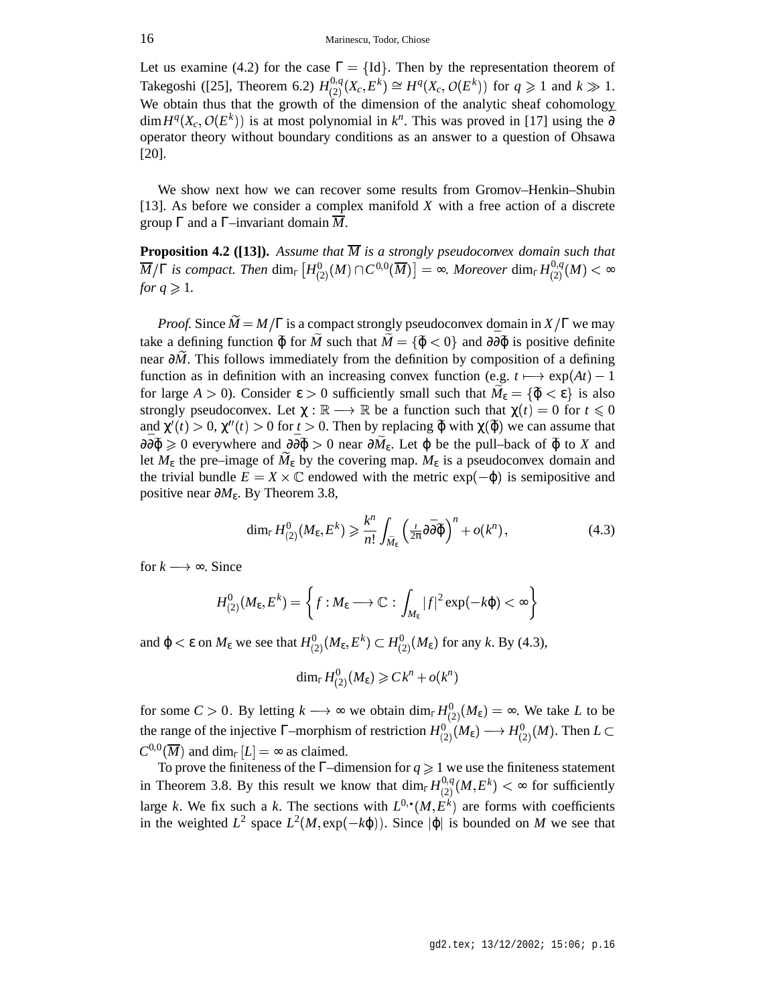Let us examine (4.2) for the case  $\Gamma = \{Id\}$ . Then by the representation theorem of Takegoshi ([25], Theorem 6.2)  $H_{(2)}^{0,q}(X_c, E^k) \cong H^q(X_c, O(E^k))$  for  $q \geq 1$  and  $k \gg 1$ . We obtain thus that the growth of the dimension of the analytic sheaf cohomology  $\dim H^q(X_c, O(E^k))$  is at most polynomial in  $k^n$ . This was proved in [17] using the  $\overline{\partial}$ operator theory without boundary conditions as an answer to a question of Ohsawa [20].

We show next how we can recover some results from Gromov–Henkin–Shubin [13]. As before we consider a complex manifold *X* with a free action of a discrete group  $\Gamma$  and a  $\Gamma$ –invariant domain  $\overline{M}$ .

**Proposition 4.2** ([13]). Assume that  $\overline{M}$  is a strongly pseudoconvex domain such that  $\overline{M}/\Gamma$  *is compact. Then*  $\dim_{\Gamma}\left[H^0_{(2)}(M)\cap C^{0,0}(\overline{M})\right]=\infty$ *. Moreover*  $\dim_{\Gamma}H^{0,q}_{(2)}(M)<\infty$ *for*  $q \ge 1$ *.* 

*Proof.* Since  $\widetilde{M} = M/\Gamma$  is a compact strongly pseudoconvex domain in  $X/\Gamma$  we may take a defining function  $\tilde{\varphi}$  for  $\tilde{M}$  such that  $\tilde{M} = {\tilde{\varphi} < 0}$  and  $\partial \bar{\partial} \tilde{\varphi}$  is positive definite near  $\partial M$ . This follows immediately from the definition by composition of a defining function as in definition with an increasing convex function (e.g.  $t \mapsto \exp(At) - 1$ for large  $A > 0$ ). Consider  $\varepsilon > 0$  sufficiently small such that  $M_{\varepsilon} = {\tilde{\varphi} < \varepsilon}$  is also strongly pseudoconvex. Let  $\chi : \mathbb{R} \longrightarrow \mathbb{R}$  be a function such that  $\chi(t) = 0$  for  $t \le 0$ and  $\chi'(t) > 0$ ,  $\chi''(t) > 0$  for  $t > 0$ . Then by replacing  $\tilde{\varphi}$  with  $\chi(\tilde{\varphi})$  we can assume that  $\partial \overline{\partial} \widetilde{\varphi} \geq 0$  everywhere and  $\partial \overline{\partial} \widetilde{\varphi} > 0$  near  $\partial M_{\varepsilon}$ . Let  $\varphi$  be the pull–back of  $\widetilde{\varphi}$  to *X* and let  $M_{\varepsilon}$  the pre–image of  $\tilde{M}_{\varepsilon}$  by the covering map.  $M_{\varepsilon}$  is a pseudoconvex domain and the trivial bundle  $E = X \times \mathbb{C}$  endowed with the metric  $exp(-\varphi)$  is semipositive and positive near ∂*M*ε. By Theorem 3.8,

$$
\dim_{\Gamma} H_{(2)}^0(M_{\varepsilon}, E^k) \geqslant \frac{k^n}{n!} \int_{\widetilde{M}_{\varepsilon}} \left( \frac{t}{2\pi} \partial \overline{\partial} \widetilde{\varphi} \right)^n + o(k^n) \,, \tag{4.3}
$$

for  $k \rightarrow \infty$ . Since

$$
H^0_{(2)}(M_{\varepsilon},E^k)=\left\{f:M_{\varepsilon}\longrightarrow\mathbb{C}:\,\int_{M_{\varepsilon}}|f|^2\exp(-k\phi)<\infty\right\}
$$

and  $\varphi < \varepsilon$  on  $M_{\varepsilon}$  we see that  $H^0_{(2)}(M_{\varepsilon}, E^k) \subset H^0_{(2)}(M_{\varepsilon})$  for any *k*. By (4.3),

$$
\dim_{\mathbb{F}} H_{(2)}^{0}(M_{\varepsilon}) \geqslant C \hspace{0.5pt} k^n + o(k^n)
$$

for some  $C > 0$ . By letting  $k \longrightarrow \infty$  we obtain  $\dim_{\Gamma} H_{(2)}^{0}(M_{\epsilon}) = \infty$ . We take *L* to be the range of the injective  $\Gamma$ -morphism of restriction  $H^0_{(2)}(M_{\epsilon}) \longrightarrow H^0_{(2)}(M)$ . Then  $L \subset$  $C^{0,0}(\overline{M})$  and dim<sub>Γ</sub>[*L*] =  $\infty$  as claimed.

To prove the finiteness of the  $\Gamma$ –dimension for  $q \geq 1$  we use the finiteness statement in Theorem 3.8. By this result we know that  $\dim_{\Gamma} H_{(2)}^{0,q}(M, E^k) < \infty$  for sufficiently large *k*. We fix such a *k*. The sections with  $L^{0,\bullet}(M, E^k)$  are forms with coefficients in the weighted  $L^2$  space  $L^2(M, \exp(-k\varphi))$ . Since  $|\varphi|$  is bounded on *M* we see that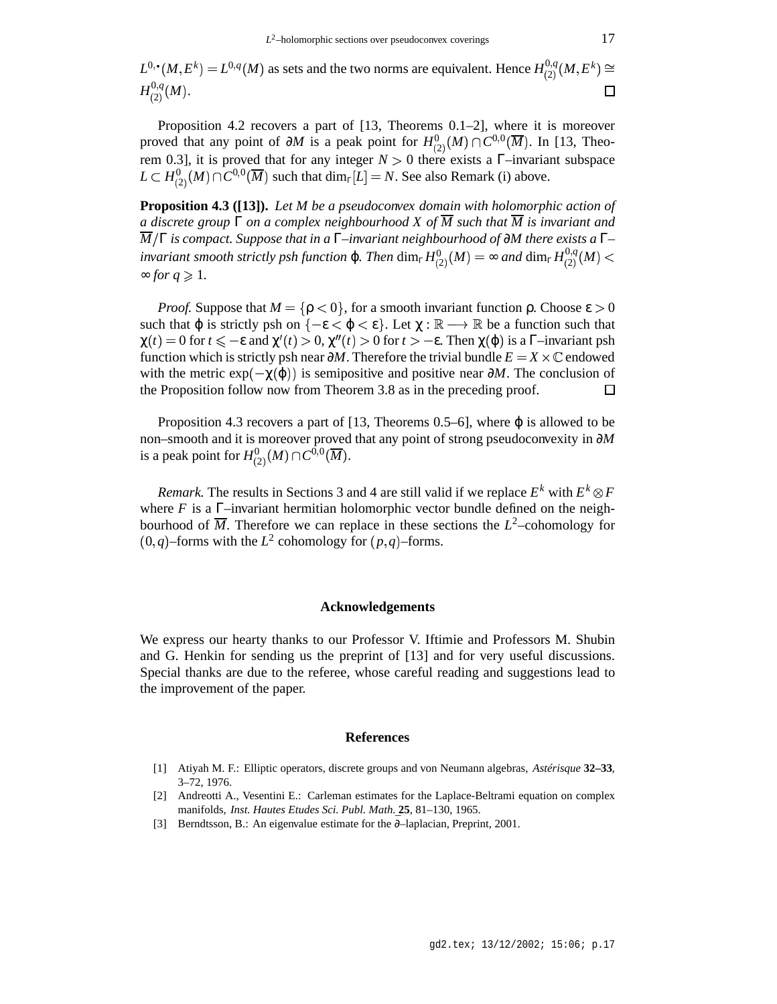$L^{0,\bullet}(M,E^k)=L^{0,q}(M)$  as sets and the two norms are equivalent. Hence  $H^{0,q}_{(2)}(M,E^k)\cong L^{0,q}(M,E^k)$  $H_{(2)}^{0,q}(M).$  $\Box$ 

Proposition 4.2 recovers a part of [13, Theorems 0.1–2], where it is moreover proved that any point of  $\partial M$  is a peak point for  $H^0_{(2)}(M) \cap C^{0,0}(\overline{M})$ . In [13, Theorem 0.3], it is proved that for any integer  $N > 0$  there exists a  $\Gamma$ –invariant subspace  $L \subset H_{(2)}^{0}(M) \cap C^{0,0}(\overline{M})$  such that  $\dim_{\Gamma}[L] = N$ . See also Remark (i) above.

**Proposition 4.3 ([13]).** *Let M be a pseudoconvex domain with holomorphic action of a discrete group* Γ *on a complex neighbourhood X of M such that M is invariant and M* Γ *is compact. Suppose that in a* Γ*–invariant neighbourhood of* ∂*M there exists a* Γ*– invariant smooth strictly psh function*  $\varphi$ *. Then*  $\dim_{\Gamma} H_{(2)}^{0}(M) = \infty$  and  $\dim_{\Gamma} H_{(2)}^{0,q}(M) < \infty$  $≈ for q ≥ 1.$ 

*Proof.* Suppose that  $M = \{ \rho < 0 \}$ , for a smooth invariant function  $\rho$ . Choose  $\varepsilon > 0$ such that  $\varphi$  is strictly psh on  $\{-\varepsilon < \varphi < \varepsilon\}$ . Let  $\chi : \mathbb{R} \longrightarrow \mathbb{R}$  be a function such that  $\chi(t) = 0$  for  $t \le -\varepsilon$  and  $\chi'(t) > 0$ ,  $\chi''(t) > 0$  for  $t > -\varepsilon$ . Then  $\chi(\varphi)$  is a  $\Gamma$ -invariant psh function which is strictly psh near  $\partial M$ . Therefore the trivial bundle  $E = X \times \mathbb{C}$  endowed with the metric  $exp(-\chi(\varphi))$  is semipositive and positive near  $\partial M$ . The conclusion of the Proposition follow now from Theorem 3.8 as in the preceding proof. П

Proposition 4.3 recovers a part of [13, Theorems 0.5–6], where  $\varphi$  is allowed to be non–smooth and it is moreover proved that any point of strong pseudoconvexity in ∂*M* is a peak point for  $H^0_{(2)}(M)\cap C^{0,0}(\overline{M}).$ 

*Remark.* The results in Sections 3 and 4 are still valid if we replace  $E^k$  with  $E^k \otimes F$ where  $F$  is a  $\Gamma$ -invariant hermitian holomorphic vector bundle defined on the neighbourhood of  $\overline{M}$ . Therefore we can replace in these sections the  $L^2$ -cohomology for  $(0, q)$ –forms with the  $L^2$  cohomology for  $(p, q)$ –forms.

### **Acknowledgements**

We express our hearty thanks to our Professor V. Iftimie and Professors M. Shubin and G. Henkin for sending us the preprint of [13] and for very useful discussions. Special thanks are due to the referee, whose careful reading and suggestions lead to the improvement of the paper.

#### **References**

- [1] Atiyah M. F.: Elliptic operators, discrete groups and von Neumann algebras, *Astérisque* **32–33**, 3–72, 1976.
- [2] Andreotti A., Vesentini E.: Carleman estimates for the Laplace-Beltrami equation on complex manifolds, *Inst. Hautes Etudes Sci. Publ. Math.* **25**, 81–130, 1965.
- [3] Berndtsson, B.: An eigenvalue estimate for the ∂–laplacian, Preprint, 2001.